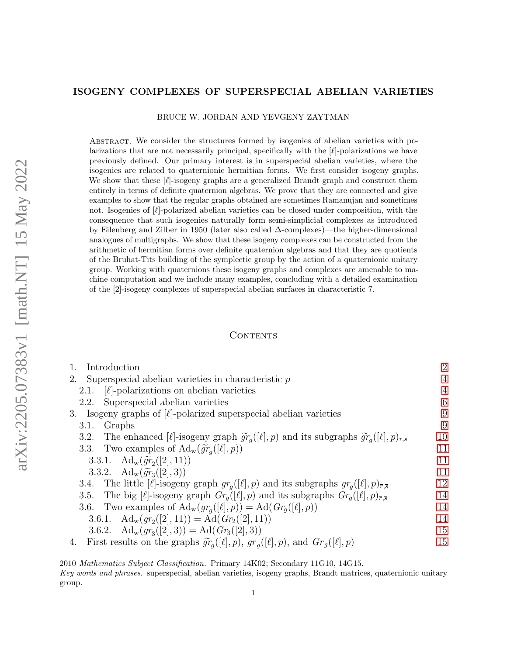## <span id="page-0-0"></span>ISOGENY COMPLEXES OF SUPERSPECIAL ABELIAN VARIETIES

BRUCE W. JORDAN AND YEVGENY ZAYTMAN

Abstract. We consider the structures formed by isogenies of abelian varieties with polarizations that are not necessarily principal, specifically with the  $[\ell]$ -polarizations we have previously defined. Our primary interest is in superspecial abelian varieties, where the isogenies are related to quaternionic hermitian forms. We first consider isogeny graphs. We show that these  $[\ell]$ -isogeny graphs are a generalized Brandt graph and construct them entirely in terms of definite quaternion algebras. We prove that they are connected and give examples to show that the regular graphs obtained are sometimes Ramanujan and sometimes not. Isogenies of  $[\ell]$ -polarized abelian varieties can be closed under composition, with the consequence that such isogenies naturally form semi-simplicial complexes as introduced by Eilenberg and Zilber in 1950 (later also called ∆-complexes)—the higher-dimensional analogues of multigraphs. We show that these isogeny complexes can be constructed from the arithmetic of hermitian forms over definite quaternion algebras and that they are quotients of the Bruhat-Tits building of the symplectic group by the action of a quaternionic unitary group. Working with quaternions these isogeny graphs and complexes are amenable to machine computation and we include many examples, concluding with a detailed examination of the [2]-isogeny complexes of superspecial abelian surfaces in characteristic 7.

## CONTENTS

| Introduction                                                                                                                | $\overline{2}$ |
|-----------------------------------------------------------------------------------------------------------------------------|----------------|
| Superspecial abelian varieties in characteristic $p$<br>2.                                                                  | 4              |
| $[\ell]$ -polarizations on abelian varieties<br>2.1.                                                                        | $\overline{4}$ |
| Superspecial abelian varieties<br>2.2.                                                                                      | 6              |
| 3. Isogeny graphs of $[\ell]$ -polarized superspecial abelian varieties                                                     | 9              |
| Graphs<br>3.1.                                                                                                              | 9              |
| The enhanced [ $\ell$ ]-isogeny graph $\tilde{gr}_q([\ell], p)$ and its subgraphs $\tilde{gr}_q([\ell], p)_{r,s}$<br>3.2.   | 10             |
| 3.3. Two examples of $\text{Ad}_w(\widetilde{gr}_q([\ell], p))$                                                             | 11             |
| 3.3.1. $\text{Ad}_{w}(\widetilde{gr}_{2}([2], 11))$                                                                         | 11             |
| 3.3.2. $\text{Ad}_{w}(\widetilde{gr}_{3}([2],3))$                                                                           | 11             |
| 3.4. The little [ $\ell$ ]-isogeny graph $gr_q([\ell], p)$ and its subgraphs $gr_q([\ell], p)_{\overline{r}, \overline{s}}$ | 12             |
| 3.5. The big $[\ell]$ -isogeny graph $Gr_q([\ell], p)$ and its subgraphs $Gr_q([\ell], p)_{\overline{r}, \overline{s}}$     | 14             |
| 3.6. Two examples of $\text{Ad}_w(g r_q([\ell], p)) = \text{Ad}(Gr_g([\ell], p))$                                           | 14             |
| 3.6.1. $\text{Ad}_{w}(gr_2([2], 11)) = \text{Ad}(Gr_2([2], 11))$                                                            | 14             |
| 3.6.2. $\text{Ad}_{w}(gr_3([2], 3)) = \text{Ad}(Gr_3([2], 3))$                                                              | 15             |
| First results on the graphs $\widetilde{gr}_q([\ell], p)$ , $gr_q([\ell], p)$ , and $Gr_g([\ell], p)$<br>4.                 | 15             |
|                                                                                                                             |                |

<sup>2010</sup> Mathematics Subject Classification. Primary 14K02; Secondary 11G10, 14G15.

Key words and phrases. superspecial, abelian varieties, isogeny graphs, Brandt matrices, quaternionic unitary group.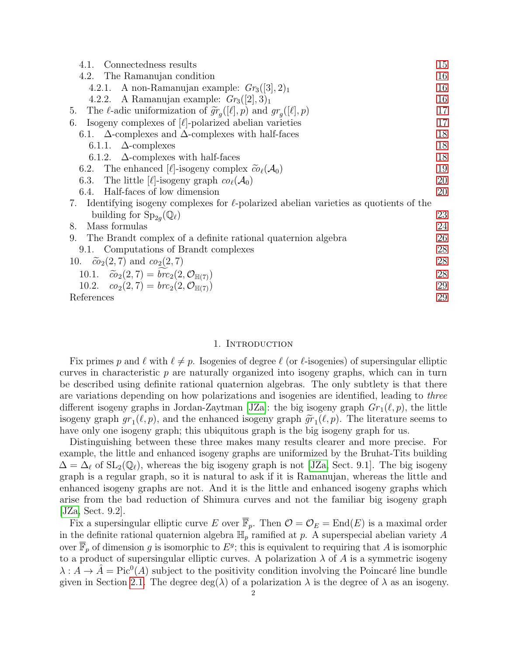| Connectedness results<br>4.1.                                                                | 15 |
|----------------------------------------------------------------------------------------------|----|
| The Ramanujan condition<br>4.2.                                                              | 16 |
| 4.2.1. A non-Ramanujan example: $Gr_3([3], 2)_1$                                             | 16 |
| A Ramanujan example: $Gr_3([2], 3)_1$<br>4.2.2.                                              | 16 |
| 5. The $\ell$ -adic uniformization of $\widetilde{gr}_q([\ell], p)$ and $gr_q([\ell], p)$    | 17 |
| Isogeny complexes of $\ell$ -polarized abelian varieties<br>6.                               | 17 |
| 6.1. $\Delta$ -complexes and $\Delta$ -complexes with half-faces                             | 18 |
| 6.1.1. $\Delta$ -complexes                                                                   | 18 |
| 6.1.2. $\Delta$ -complexes with half-faces                                                   | 18 |
| The enhanced [ $\ell$ ]-isogeny complex $\widetilde{co}_{\ell}(\mathcal{A}_0)$<br>6.2.       | 19 |
| 6.3. The little [ $\ell$ ]-isogeny graph $co_{\ell}(\mathcal{A}_0)$                          | 20 |
| 6.4. Half-faces of low dimension                                                             | 20 |
| 7. Identifying isogeny complexes for $\ell$ -polarized abelian varieties as quotients of the |    |
| building for $\text{Sp}_{2q}(\mathbb{Q}_\ell)$                                               | 23 |
| Mass formulas<br>8.                                                                          | 24 |
| The Brandt complex of a definite rational quaternion algebra<br>9.                           | 26 |
| 9.1. Computations of Brandt complexes                                                        | 28 |
| 10. $\tilde{co}_2(2,7)$ and $co_2(2,7)$                                                      | 28 |
| 10.1. $\widetilde{co}_2(2,7) = brc_2(2,\mathcal{O}_{\mathbb{H}(7)})$                         | 28 |
| 10.2. $co_2(2, 7) = brc_2(2, \mathcal{O}_{\mathbb{H}(7)})$                                   | 29 |
| References                                                                                   | 29 |

#### 1. Introduction

<span id="page-1-0"></span>Fix primes p and  $\ell$  with  $\ell \neq p$ . Isogenies of degree  $\ell$  (or  $\ell$ -isogenies) of supersingular elliptic curves in characteristic  $p$  are naturally organized into isogeny graphs, which can in turn be described using definite rational quaternion algebras. The only subtlety is that there are variations depending on how polarizations and isogenies are identified, leading to three different isogeny graphs in Jordan-Zaytman [\[JZa\]](#page-29-0): the big isogeny graph  $Gr_1(\ell, p)$ , the little isogeny graph  $gr_1(\ell, p)$ , and the enhanced isogeny graph  $\tilde{gr}_1(\ell, p)$ . The literature seems to have only one isogeny graph: this ubjectious graph is the big isogeny graph for us have only one isogeny graph; this ubiquitous graph is the big isogeny graph for us.

Distinguishing between these three makes many results clearer and more precise. For example, the little and enhanced isogeny graphs are uniformized by the Bruhat-Tits building  $\Delta = \Delta_{\ell}$  of  $SL_2(\mathbb{Q}_{\ell})$ , whereas the big isogeny graph is not [\[JZa,](#page-29-0) Sect. 9.1]. The big isogeny graph is a regular graph, so it is natural to ask if it is Ramanujan, whereas the little and enhanced isogeny graphs are not. And it is the little and enhanced isogeny graphs which arise from the bad reduction of Shimura curves and not the familiar big isogeny graph [\[JZa,](#page-29-0) Sect. 9.2].

Fix a supersingular elliptic curve E over  $\mathbb{F}_p$ . Then  $\mathcal{O} = \mathcal{O}_E = \text{End}(E)$  is a maximal order in the definite rational quaternion algebra  $\mathbb{H}_p$  ramified at p. A superspecial abelian variety A over  $\overline{\mathbb{F}}_p$  of dimension g is isomorphic to  $E^g$ ; this is equivalent to requiring that A is isomorphic to a product of supersingular elliptic curves. A polarization  $\lambda$  of A is a symmetric isogeny  $\lambda : A \to \hat{A} = \text{Pic}^0(A)$  subject to the positivity condition involving the Poincaré line bundle given in Section [2.1.](#page-3-1) The degree  $deg(\lambda)$  of a polarization  $\lambda$  is the degree of  $\lambda$  as an isogeny.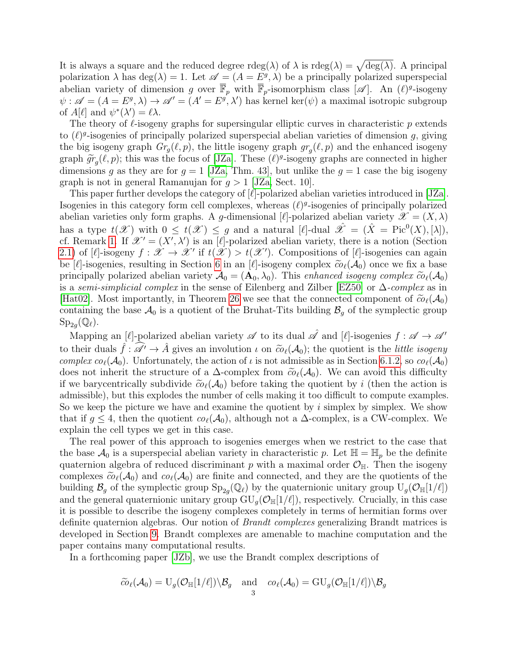It is always a square and the reduced degree rdeg( $\lambda$ ) of  $\lambda$  is rdeg( $\lambda$ ) =  $\sqrt{\deg(\lambda)}$ . A principal polarization  $\lambda$  has  $deg(\lambda) = 1$ . Let  $\mathscr{A} = (A = E^g, \lambda)$  be a principally polarized superspecial abelian variety of dimension g over  $\overline{\mathbb{F}}_p$  with  $\overline{\mathbb{F}}_p$ -isomorphism class  $[\mathscr{A}]$ . An  $(\ell)^g$ -isogeny  $\psi : \mathscr{A} = (A = E^g, \lambda) \to \mathscr{A}' = (A' = E^g, \lambda')$  has kernel ker $(\psi)$  a maximal isotropic subgroup of  $A[\ell]$  and  $\psi^*(\lambda') = \ell \lambda$ .

The theory of  $\ell$ -isogeny graphs for supersingular elliptic curves in characteristic p extends to  $(\ell)^g$ -isogenies of principally polarized superspecial abelian varieties of dimension g, giving the big isogeny graph  $Gr_g(\ell, p)$ , the little isogeny graph  $gr_g(\ell, p)$  and the enhanced isogeny graph  $\widetilde{gr}_g(\ell, p)$ ; this was the focus of [\[JZa\]](#page-29-0). These  $(\ell)^g$ -isogeny graphs are connected in higher<br>dimensions a as thou are for  $g = 1$  [JZa]. Then 43], but unlike the  $g = 1$  case the big isogeny dimensions g as they are for  $g = 1$  [\[JZa,](#page-29-0) Thm. 43], but unlike the  $g = 1$  case the big isogeny graph is not in general Ramanujan for  $q > 1$  [\[JZa,](#page-29-0) Sect. 10].

This paper further develops the category of  $[\ell]$ -polarized abelian varieties introduced in [\[JZa\]](#page-29-0). Isogenies in this category form cell complexes, whereas  $(\ell)^g$ -isogenies of principally polarized abelian varieties only form graphs. A g-dimensional  $[\ell]$ -polarized abelian variety  $\mathscr{X} = (X, \lambda)$ has a type  $t(\mathscr{X})$  with  $0 \leq t(\mathscr{X}) \leq g$  and a natural [ $\ell$ ]-dual  $\mathscr{\hat{X}} = (\hat{X} = Pic^{0}(X), [\lambda]),$ cf. Remark [1.](#page-3-2) If  $\mathscr{X}' = (X', \lambda')$  is an [ $\ell$ ]-polarized abelian variety, there is a notion (Section [2.1\)](#page-3-1) of [ $\ell$ ]-isogeny  $f : \mathscr{X} \to \mathscr{X}'$  if  $t(\mathscr{X}) > t(\mathscr{X}')$ . Compositions of [ $\ell$ ]-isogenies can again be [ $\ell$ ]-isogenies, resulting in Section [6](#page-16-1) in an [ $\ell$ ]-isogeny complex  $\tilde{co}_{\ell}(\mathcal{A}_0)$  once we fix a base principally polarized abelian variety  $A_0 = (A_0, \lambda_0)$ . This enhanced isogeny complex  $\tilde{c}o_\ell(A_0)$ is a *semi-simplicial complex* in the sense of Eilenberg and Zilber [\[EZ50\]](#page-28-2) or  $\Delta$ -*complex* as in [\[Hat02\]](#page-28-3). Most importantly, in Theorem [26](#page-22-1) we see that the connected component of  $\tilde{co}_{\ell}(\mathcal{A}_0)$ containing the base  $\mathcal{A}_0$  is a quotient of the Bruhat-Tits building  $\mathcal{B}_g$  of the symplectic group  $\mathrm{Sp}_{2g}(\mathbb{Q}_\ell).$ 

Mapping an [ $\ell$ ]-polarized abelian variety  $\mathscr A$  to its dual  $\mathscr A$  and [ $\ell$ ]-isogenies  $f : \mathscr A \to \mathscr A'$ to their duals  $\hat{f}: \widehat{\mathscr{A}}' \to \hat{A}$  gives an involution  $\iota$  on  $\widetilde{co}_{\ell}(\mathcal{A}_0)$ ; the quotient is the *little isogeny* complex  $co_{\ell}(\mathcal{A}_0)$ . Unfortunately, the action of  $\iota$  is not admissible as in Section [6.1.2,](#page-17-2) so  $co_{\ell}(\mathcal{A}_0)$ does not inherit the structure of a  $\Delta$ -complex from  $\tilde{co}_{\ell}(\mathcal{A}_0)$ . We can avoid this difficulty if we barycentrically subdivide  $\tilde{\omega}_{\ell}(A_0)$  before taking the quotient by i (then the action is admissible), but this explodes the number of cells making it too difficult to compute examples. So we keep the picture we have and examine the quotient by  $i$  simplex by simplex. We show that if  $g \leq 4$ , then the quotient  $co_{\ell}(\mathcal{A}_0)$ , although not a  $\Delta$ -complex, is a CW-complex. We explain the cell types we get in this case.

The real power of this approach to isogenies emerges when we restrict to the case that the base  $\mathcal{A}_0$  is a superspecial abelian variety in characteristic p. Let  $\mathbb{H} = \mathbb{H}_p$  be the definite quaternion algebra of reduced discriminant p with a maximal order  $\mathcal{O}_{\mathbb{H}}$ . Then the isogeny complexes  $\tilde{c}o_{\ell}(\mathcal{A}_0)$  and  $co_{\ell}(\mathcal{A}_0)$  are finite and connected, and they are the quotients of the building  $\mathcal{B}_g$  of the symplectic group  $\text{Sp}_{2g}(\mathbb{Q}_\ell)$  by the quaternionic unitary group  $\text{U}_g(\mathcal{O}_{\mathbb{H}}[1/\ell])$ and the general quaternionic unitary group  $GU_q(\mathcal{O}_{\mathbb{H}}[1/\ell])$ , respectively. Crucially, in this case it is possible to describe the isogeny complexes completely in terms of hermitian forms over definite quaternion algebras. Our notion of *Brandt complexes* generalizing Brandt matrices is developed in Section [9.](#page-25-0) Brandt complexes are amenable to machine computation and the paper contains many computational results.

In a forthcoming paper [\[JZb\]](#page-29-1), we use the Brandt complex descriptions of

$$
\widetilde{co}_{\ell}(\mathcal{A}_0)=\mathrm{U}_g(\mathcal{O}_{\mathbb{H}}[1/\ell])\backslash \mathcal{B}_g\quad \text{and}\quad co_{\ell}(\mathcal{A}_0)=\mathrm{GU}_g(\mathcal{O}_{\mathbb{H}}[1/\ell])\backslash \mathcal{B}_g
$$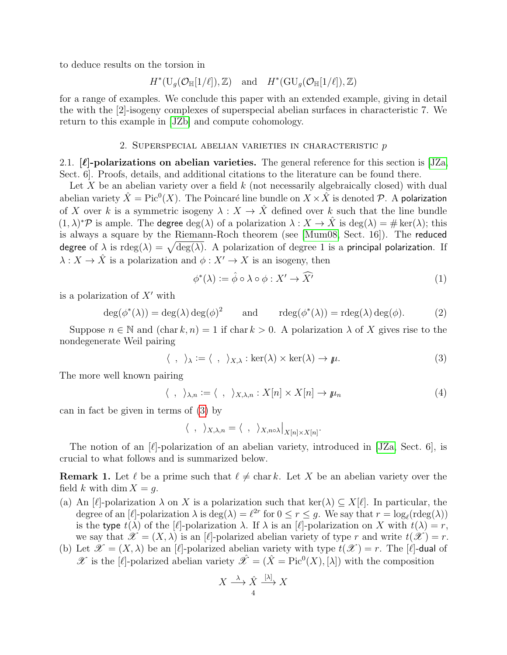to deduce results on the torsion in

$$
H^*(\mathrm{U}_g(\mathcal{O}_{\mathbb{H}}[1/\ell]),\mathbb{Z})\quad \text{and}\quad H^*(\mathrm{GU}_g(\mathcal{O}_{\mathbb{H}}[1/\ell]),\mathbb{Z})
$$

for a range of examples. We conclude this paper with an extended example, giving in detail the with the [2]-isogeny complexes of superspecial abelian surfaces in characteristic 7. We return to this example in [\[JZb\]](#page-29-1) and compute cohomology.

## 2. SUPERSPECIAL ABELIAN VARIETIES IN CHARACTERISTIC  $p$

<span id="page-3-1"></span><span id="page-3-0"></span>2.1.  $[\ell]$ -polarizations on abelian varieties. The general reference for this section is [\[JZa,](#page-29-0) Sect. 6]. Proofs, details, and additional citations to the literature can be found there.

Let X be an abelian variety over a field  $k$  (not necessarily algebraically closed) with dual abelian variety  $\hat{X} = \mathrm{Pic}^0(X)$ . The Poincaré line bundle on  $X \times \hat{X}$  is denoted  $\mathcal{P}$ . A polarization of X over k is a symmetric isogeny  $\lambda : X \to \hat{X}$  defined over k such that the line bundle  $(1, \lambda)^*$ P is ample. The degree  $\deg(\lambda)$  of a polarization  $\lambda : X \to \hat{X}$  is  $\deg(\lambda) = \# \ker(\lambda)$ ; this is always a square by the Riemann-Roch theorem (see [\[Mum08,](#page-29-2) Sect. 16]). The reduced degree of  $\lambda$  is  $\mathrm{rdeg}(\lambda) = \sqrt{\deg(\lambda)}$ . A polarization of degree 1 is a principal polarization. If  $\lambda: X \to \hat{X}$  is a polarization and  $\phi: X' \to X$  is an isogeny, then

<span id="page-3-4"></span>
$$
\phi^*(\lambda) := \hat{\phi} \circ \lambda \circ \phi : X' \to \widehat{X'}
$$
\n<sup>(1)</sup>

is a polarization of  $X'$  with

$$
\deg(\phi^*(\lambda)) = \deg(\lambda) \deg(\phi)^2 \quad \text{and} \quad \operatorname{rdeg}(\phi^*(\lambda)) = \operatorname{rdeg}(\lambda) \deg(\phi). \tag{2}
$$

Suppose  $n \in \mathbb{N}$  and  $(\text{char } k, n) = 1$  if  $\text{char } k > 0$ . A polarization  $\lambda$  of X gives rise to the nondegenerate Weil pairing

<span id="page-3-3"></span>
$$
\langle , \rangle_{\lambda} := \langle , \rangle_{X,\lambda} : \ker(\lambda) \times \ker(\lambda) \to \mu.
$$
 (3)

The more well known pairing

$$
\langle , \rangle_{\lambda,n} := \langle , \rangle_{X,\lambda,n} : X[n] \times X[n] \to \mu_n \tag{4}
$$

can in fact be given in terms of [\(3\)](#page-3-3) by

$$
\langle , \rangle_{X,\lambda,n} = \langle , \rangle_{X,n \circ \lambda} \Big|_{X[n] \times X[n]}.
$$

The notion of an  $[\ell]$ -polarization of an abelian variety, introduced in [\[JZa,](#page-29-0) Sect. 6], is crucial to what follows and is summarized below.

<span id="page-3-2"></span>**Remark 1.** Let  $\ell$  be a prime such that  $\ell \neq \text{char } k$ . Let X be an abelian variety over the field k with dim  $X = q$ .

- <span id="page-3-6"></span>(a) An  $[\ell]$ -polarization  $\lambda$  on X is a polarization such that ker( $\lambda$ )  $\subseteq X[\ell]$ . In particular, the degree of an  $[\ell]$ -polarization  $\lambda$  is  $\deg(\lambda) = \ell^{2r}$  for  $0 \le r \le g$ . We say that  $r = \log_{\ell}(\text{rdeg}(\lambda))$ is the type  $t(\lambda)$  of the [ $\ell$ ]-polarization  $\lambda$ . If  $\lambda$  is an [ $\ell$ ]-polarization on X with  $t(\lambda) = r$ , we say that  $\mathscr{X} = (X, \lambda)$  is an [ $\ell$ ]-polarized abelian variety of type r and write  $t(\mathscr{X}) = r$ .
- <span id="page-3-5"></span>(b) Let  $\mathscr{X} = (X, \lambda)$  be an [ $\ell$ -polarized abelian variety with type  $t(\mathscr{X}) = r$ . The  $[\ell]$ -dual of X is the [ $\ell$ ]-polarized abelian variety  $\hat{\mathcal{X}} = (\hat{X} = Pic^0(X), [\lambda])$  with the composition

$$
X \xrightarrow{\lambda} \hat{X} \xrightarrow{[\lambda]} X
$$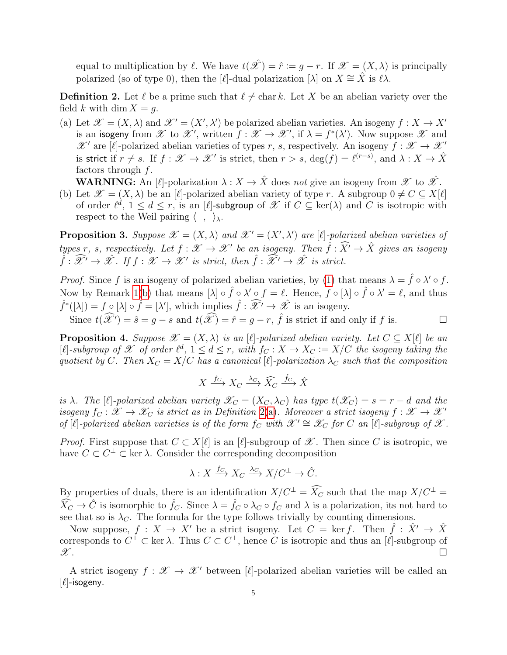equal to multiplication by  $\ell$ . We have  $t(\hat{\mathscr{X}}) = \hat{r} := q - r$ . If  $\mathscr{X} = (X, \lambda)$  is principally polarized (so of type 0), then the [ $\ell$ ]-dual polarization [ $\lambda$ ] on  $X \cong \hat{X}$  is  $\ell \lambda$ .

<span id="page-4-0"></span>**Definition 2.** Let  $\ell$  be a prime such that  $\ell \neq \text{char } k$ . Let X be an abelian variety over the field k with dim  $X = g$ .

<span id="page-4-1"></span>(a) Let  $\mathscr{X} = (X, \lambda)$  and  $\mathscr{X}' = (X', \lambda')$  be polarized abelian varieties. An isogeny  $f : X \to X'$ is an isogeny from  $\mathscr X$  to  $\mathscr X'$ , written  $f : \mathscr X \to \mathscr X'$ , if  $\lambda = f^*(\lambda')$ . Now suppose  $\mathscr X$  and  $\mathscr{X}'$  are [ $\ell$ ]-polarized abelian varieties of types r, s, respectively. An isogeny  $f : \mathscr{X} \to \mathscr{X}'$ is strict if  $r \neq s$ . If  $f : \mathscr{X} \to \mathscr{X}'$  is strict, then  $r > s$ , deg $(f) = \ell^{(r-s)}$ , and  $\lambda : X \to \hat{X}$ factors through  $f$ .

**WARNING:** An  $[\ell]$ -polarization  $\lambda : X \to \hat{X}$  does not give an isogeny from  $\mathscr{X}$  to  $\hat{\mathscr{X}}$ .

<span id="page-4-2"></span>(b) Let  $\mathscr{X} = (X, \lambda)$  be an [ $\ell$ ]-polarized abelian variety of type r. A subgroup  $0 \neq C \subseteq X[\ell]$ of order  $\ell^d$ ,  $1 \leq d \leq r$ , is an  $[\ell]$ -subgroup of  $\mathscr{X}$  if  $C \subseteq \text{ker}(\lambda)$  and C is isotropic with respect to the Weil pairing  $\langle , \rangle_{\lambda}$ .

**Proposition 3.** Suppose  $\mathscr{X} = (X, \lambda)$  and  $\mathscr{X}' = (X', \lambda')$  are [ $\ell$ ]-polarized abelian varieties of types r, s, respectively. Let  $f : \mathscr{X} \to \mathscr{X}'$  be an isogeny. Then  $\hat{f} : \widehat{X'} \to \hat{X}$  gives an isogeny  $\hat{f}: \widehat{\mathscr{X}}' \to \hat{\mathscr{X}}$ . If  $f: \mathscr{X} \to \mathscr{X}'$  is strict, then  $\hat{f}: \widehat{\mathscr{X}}' \to \hat{\mathscr{X}}$  is strict.

*Proof.* Since f is an isogeny of polarized abelian varieties, by [\(1\)](#page-3-4) that means  $\lambda = \hat{f} \circ \lambda' \circ f$ . Now by Remark [1](#page-3-2)[\(b\)](#page-3-5) that means  $[\lambda] \circ \hat{f} \circ \lambda' \circ f = \ell$ . Hence,  $f \circ [\lambda] \circ \hat{f} \circ \lambda' = \ell$ , and thus  $\hat{f}^*([\lambda]) = f \circ [\lambda] \circ \hat{f} = [\lambda'],$  which implies  $\hat{f} : \widehat{\mathcal{X}}' \to \hat{\mathcal{X}}'$  is an isogeny.

Since  $t(\widehat{\mathscr{X}}') = \hat{s} = g - s$  and  $t(\widehat{\mathscr{X}}) = \hat{r} = g - r$ ,  $\hat{f}$  is strict if and only if f is.

<span id="page-4-3"></span>**Proposition 4.** Suppose  $\mathscr{X} = (X, \lambda)$  is an [ $\ell$ ]-polarized abelian variety. Let  $C \subseteq X[\ell]$  be an [ $\ell$ ]-subgroup of  $\mathscr X$  of order  $\ell^d$ ,  $1 \leq d \leq r$ , with  $f_C : X \to X_C := X/C$  the isogeny taking the quotient by C. Then  $X_C = X/C$  has a canonical [ $\ell$ ]-polarization  $\lambda_C$  such that the composition

$$
X \xrightarrow{f_C} X_C \xrightarrow{\lambda_C} \widehat{X}_C \xrightarrow{\hat{f}_C} \hat{X}
$$

is  $\lambda$ . The [ $\ell$ ]-polarized abelian variety  $\mathscr{X}_{C} = (X_{C}, \lambda_{C})$  has type  $t(\mathscr{X}_{C}) = s = r - d$  and the isogeny  $f_C : \mathscr{X} \to \mathscr{X}_C$  is strict as in Definition [2\(](#page-4-0)[a\)](#page-4-1). Moreover a strict isogeny  $f : \mathscr{X} \to \mathscr{X}'$ of  $[\ell]$ -polarized abelian varieties is of the form  $f_C$  with  $\mathscr{X}' \cong \mathscr{X}_C$  for C an  $[\ell]$ -subgroup of  $\mathscr{X}$ .

*Proof.* First suppose that  $C \subset X[\ell]$  is an  $[\ell]$ -subgroup of  $\mathscr X$ . Then since C is isotropic, we have  $C \subset C^{\perp} \subset \text{ker }\lambda$ . Consider the corresponding decomposition

$$
\lambda: X \xrightarrow{f_C} X_C \xrightarrow{\lambda_C} X/C^{\perp} \to \hat{C}.
$$

By properties of duals, there is an identification  $X/C^{\perp} = \widehat{X}_C$  such that the map  $X/C^{\perp} =$  $\hat{X}_C \to \hat{C}$  is isomorphic to  $\hat{f}_C$ . Since  $\lambda = \hat{f}_C \circ \lambda_C \circ f_C$  and  $\lambda$  is a polarization, its not hard to see that so is  $\lambda_C$ . The formula for the type follows trivially by counting dimensions.

Now suppose,  $f : X \to X'$  be a strict isogeny. Let  $C = \ker f$ . Then  $\hat{f} : \hat{X'} \to \hat{X}$ corresponds to  $C^{\perp} \subset \text{ker }\lambda$ . Thus  $C \subset C^{\perp}$ , hence C is isotropic and thus an [ $\ell$ ]-subgroup of  $\mathscr{X}$ .

A strict isogeny  $f : \mathscr{X} \to \mathscr{X}'$  between [ $\ell$ ]-polarized abelian varieties will be called an  $[\ell]$ -isogeny.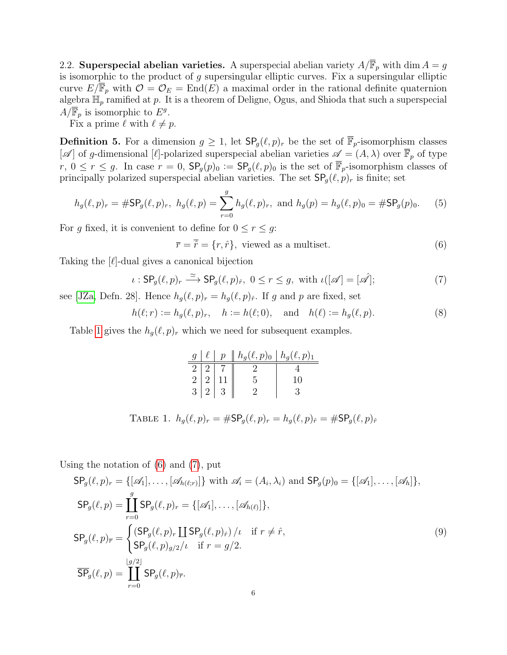<span id="page-5-0"></span>2.2. Superspecial abelian varieties. A superspecial abelian variety  $A/\overline{\mathbb{F}}_p$  with dim  $A = g$ is isomorphic to the product of  $g$  supersingular elliptic curves. Fix a supersingular elliptic curve  $E/\mathbb{F}_p$  with  $\mathcal{O} = \mathcal{O}_E = \text{End}(E)$  a maximal order in the rational definite quaternion algebra  $\mathbb{H}_p$  ramified at p. It is a theorem of Deligne, Ogus, and Shioda that such a superspecial  $A/\overline{\mathbb{F}}_p$  is isomorphic to  $E^g$ .

Fix a prime  $\ell$  with  $\ell \neq p$ .

<span id="page-5-5"></span>**Definition 5.** For a dimension  $g \geq 1$ , let  $\mathsf{SP}_g(\ell, p)_r$  be the set of  $\overline{\mathbb{F}}_p$ -isomorphism classes  $[\mathscr{A}]$  of g-dimensional [ $\ell$ ]-polarized superspecial abelian varieties  $\mathscr{A} = (A, \lambda)$  over  $\overline{\mathbb{F}}_p$  of type  $r, 0 \le r \le g$ . In case  $r = 0$ ,  $\mathsf{SP}_g(p)_0 := \mathsf{SP}_g(\ell, p)_0$  is the set of  $\overline{\mathbb{F}}_p$ -isomorphism classes of principally polarized superspecial abelian varieties. The set  $\mathsf{SP}_q(\ell, p)_r$  is finite; set

$$
h_g(\ell, p)_r = \# \mathsf{SP}_g(\ell, p)_r, \ h_g(\ell, p) = \sum_{r=0}^g h_g(\ell, p)_r, \text{ and } h_g(p) = h_g(\ell, p)_0 = \# \mathsf{SP}_g(p)_0.
$$
 (5)

For g fixed, it is convenient to define for  $0 \le r \le g$ :

<span id="page-5-2"></span>
$$
\overline{r} = \overline{\hat{r}} = \{r, \hat{r}\}, \text{ viewed as a multiset.} \tag{6}
$$

Taking the  $[\ell]$ -dual gives a canonical bijection

<span id="page-5-3"></span>
$$
\iota: \mathsf{SP}_g(\ell, p)_r \xrightarrow{\simeq} \mathsf{SP}_g(\ell, p)_{\hat{r}}, \ 0 \le r \le g, \text{ with } \iota([\mathscr{A}] = [\mathscr{A}]; \tag{7}
$$

see [\[JZa,](#page-29-0) Defn. 28]. Hence  $h_g(\ell, p)_r = h_g(\ell, p)_{\hat{r}}$ . If g and p are fixed, set

$$
h(\ell; r) := h_g(\ell, p)_r
$$
,  $h := h(\ell; 0)$ , and  $h(\ell) := h_g(\ell, p)$ . (8)

Table [1](#page-5-1) gives the  $h_g(\ell, p)_r$  which we need for subsequent examples.

<span id="page-5-1"></span>

|  |  | $g \mid \ell \mid p \parallel h_g(\ell,p)_0 \mid h_g(\ell,p)_1$                                      |                                                                                                                        |
|--|--|------------------------------------------------------------------------------------------------------|------------------------------------------------------------------------------------------------------------------------|
|  |  | $\begin{array}{c c c c c} 2 & 2 & 7 & 2 & 4 \\ 2 & 2 & 11 & 5 & 10 \\ 3 & 2 & 3 & 2 & 3 \end{array}$ |                                                                                                                        |
|  |  |                                                                                                      |                                                                                                                        |
|  |  |                                                                                                      |                                                                                                                        |
|  |  |                                                                                                      |                                                                                                                        |
|  |  |                                                                                                      | TABLE 1. $h_q(\ell, p)_r = \# \mathsf{SP}_q(\ell, p)_r = h_q(\ell, p)_{\hat{r}} = \# \mathsf{SP}_q(\ell, p)_{\hat{r}}$ |

Using the notation of [\(6\)](#page-5-2) and [\(7\)](#page-5-3), put

<span id="page-5-4"></span>
$$
SP_g(\ell, p)_r = \{[\mathscr{A}_1], \dots, [\mathscr{A}_{h(\ell;r)}]\} \text{ with } \mathscr{A}_i = (A_i, \lambda_i) \text{ and } SP_g(p)_0 = \{[\mathscr{A}_1], \dots, [\mathscr{A}_h]\},
$$
  
\n
$$
SP_g(\ell, p) = \coprod_{r=0}^g SP_g(\ell, p)_r = \{[\mathscr{A}_1], \dots, [\mathscr{A}_{h(\ell)}]\},
$$
  
\n
$$
SP_g(\ell, p)_{\overline{r}} = \begin{cases} (SP_g(\ell, p)_r) \coprod SP_g(\ell, p)_{\hat{r}} \end{cases} / \ell \text{ if } r \neq \hat{r},
$$
  
\n
$$
\overline{SP}_g(\ell, p) = \coprod_{r=0}^{\lfloor g/2 \rfloor} SP_g(\ell, p)_{\overline{r}}.
$$
  
\n(9)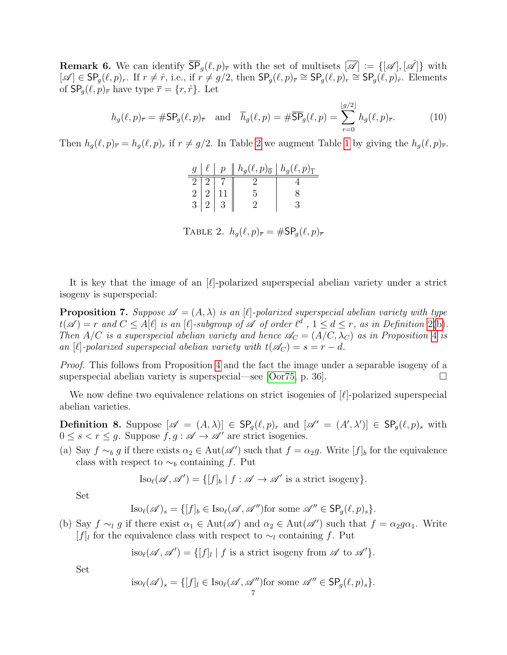<span id="page-6-2"></span>**Remark 6.** We can identify  $\overline{\mathsf{SP}}_q(\ell, p)_{\overline{r}}$  with the set of multisets  $[\overline{\mathscr{A}}] := \{[\mathscr{A}, [\mathscr{A}]\}\$  with  $[\mathscr{A}] \in \mathsf{SP}_g(\ell, p)_r$ . If  $r \neq \hat{r}$ , i.e., if  $r \neq g/2$ , then  $\mathsf{SP}_g(\ell, p)_{\bar{r}} \cong \mathsf{SP}_g(\ell, p)_{\hat{r}} \cong \mathsf{SP}_g(\ell, p)_{\hat{r}}$ . Elements of  $\mathsf{SP}_q(\ell, p)_{\overline{r}}$  have type  $\overline{r} = \{r, \hat{r}\}\$ . Let

$$
h_g(\ell, p)_{\overline{r}} = \# \mathsf{SP}_g(\ell, p)_{\overline{r}} \quad \text{and} \quad \overline{h}_g(\ell, p) = \# \overline{\mathsf{SP}}_g(\ell, p) = \sum_{r=0}^{\lfloor g/2 \rfloor} h_g(\ell, p)_{\overline{r}}.
$$
 (10)

Then  $h_g(\ell, p)_{\overline{r}} = h_g(\ell, p)_r$  if  $r \neq g/2$ . In Table [2](#page-6-0) we augment Table [1](#page-5-1) by giving the  $h_g(\ell, p)_{\overline{r}}$ .

|  |                                                                                             | $g \mid \ell \mid p \parallel h_g(\ell,p)_{\overline{0}} \mid h_g(\ell,p)_{\overline{1}}$ |  |
|--|---------------------------------------------------------------------------------------------|-------------------------------------------------------------------------------------------|--|
|  |                                                                                             |                                                                                           |  |
|  |                                                                                             |                                                                                           |  |
|  | $\begin{array}{ c c c }\hline 2&2&7 \\ \hline 2&2&11 \\ \hline 3&2&3 \\ \hline \end{array}$ |                                                                                           |  |

<span id="page-6-0"></span>TABLE 2.  $h_g(\ell, p)_{\overline{r}} = \# \mathsf{SP}_g(\ell, p)_{\overline{r}}$ 

It is key that the image of an  $[\ell]$ -polarized superspecial abelian variety under a strict isogeny is superspecial:

**Proposition 7.** Suppose  $\mathscr{A} = (A, \lambda)$  is an [C]-polarized superspecial abelian variety with type  $t(\mathscr{A}) = r$  and  $C \leq A[\ell]$  is an  $[\ell]$ -subgroup of  $\mathscr{A}$  of order  $\ell^d$ ,  $1 \leq d \leq r$ , as in Definition [2\(](#page-4-0)[b\)](#page-4-2). Then A/C is a superspecial abelian variety and hence  $\mathscr{A}_{C} = (A/C, \lambda_C)$  as in Proposition [4](#page-4-3) is an [ $\ell$ ]-polarized superspecial abelian variety with  $t(\mathscr{A}_C) = s = r - d$ .

Proof. This follows from Proposition [4](#page-4-3) and the fact the image under a separable isogeny of a superspecial abelian variety is superspecial—see [\[Oor75,](#page-29-3) p. 36].

We now define two equivalence relations on strict isogenies of  $[\ell]$ -polarized superspecial abelian varieties.

<span id="page-6-1"></span>**Definition 8.** Suppose  $[\mathscr{A} = (A, \lambda)] \in \mathsf{SP}_g(\ell, p)_r$  and  $[\mathscr{A}' = (A', \lambda')] \in \mathsf{SP}_g(\ell, p)_s$  with  $0 \leq s < r \leq g$ . Suppose  $f, g : \mathscr{A} \to \mathscr{A}'$  are strict isogenies.

<span id="page-6-3"></span>(a) Say  $f \sim_b g$  if there exists  $\alpha_2 \in \text{Aut}(\mathscr{A})$  such that  $f = \alpha_2 g$ . Write  $[f]_b$  for the equivalence class with respect to  $\sim_b$  containing f. Put

$$
Iso_{\ell}(\mathscr{A}, \mathscr{A}') = \{ [f]_b \mid f : \mathscr{A} \to \mathscr{A}' \text{ is a strict isogeny} \}.
$$

Set

$$
\text{Iso}_{\ell}(\mathscr{A})_s = \{ [f]_b \in \text{Iso}_{\ell}(\mathscr{A}, \mathscr{A}'') \text{for some } \mathscr{A}'' \in \text{SP}_g(\ell, p)_s \}.
$$

(b) Say  $f \sim_l g$  if there exist  $\alpha_1 \in \text{Aut}(\mathscr{A})$  and  $\alpha_2 \in \text{Aut}(\mathscr{A}')$  such that  $f = \alpha_2 g \alpha_1$ . Write [f]<sub>l</sub> for the equivalence class with respect to  $\sim_l$  containing f. Put

 $\text{iso}_{\ell}(\mathscr{A}, \mathscr{A}') = \{ [f]_l | f \text{ is a strict isogeny from } \mathscr{A} \text{ to } \mathscr{A}' \}.$ 

Set

$$
\text{iso}_{\ell}(\mathscr{A})_s = \{ [f]_l \in \text{Iso}_{\ell}(\mathscr{A}, \mathscr{A}'') \text{for some } \mathscr{A}'' \in \text{SP}_g(\ell, p)_s \}.
$$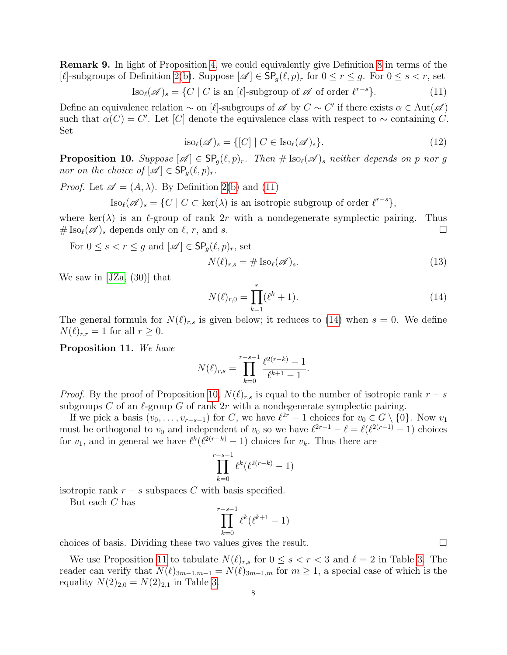<span id="page-7-4"></span>Remark 9. In light of Proposition [4,](#page-4-3) we could equivalently give Definition [8](#page-6-1) in terms of the [ $\ell$ ]-subgroups of Definition [2](#page-4-0)[\(b\)](#page-4-2). Suppose  $[\mathscr{A}] \in \mathsf{SP}_q(\ell, p)_r$  for  $0 \leq r \leq g$ . For  $0 \leq s < r$ , set

<span id="page-7-0"></span>
$$
\text{Iso}_{\ell}(\mathscr{A})_s = \{ C \mid C \text{ is an } [\ell] \text{-subgroup of } \mathscr{A} \text{ of order } \ell^{r-s} \}. \tag{11}
$$

Define an equivalence relation  $\sim$  on [ $\ell$ ]-subgroups of  $\mathscr A$  by  $C \sim C'$  if there exists  $\alpha \in Aut(\mathscr A)$ such that  $\alpha(C) = C'$ . Let [C] denote the equivalence class with respect to  $\sim$  containing C. Set

$$
\text{iso}_{\ell}(\mathscr{A})_s = \{ [C] \mid C \in \text{Iso}_{\ell}(\mathscr{A})_s \}. \tag{12}
$$

<span id="page-7-2"></span>**Proposition 10.** Suppose  $[\mathscr{A}] \in \mathsf{SP}_q(\ell,p)_r$ . Then  $\# \text{Iso}_{\ell}(\mathscr{A})_s$  neither depends on p nor g nor on the choice of  $[\mathscr{A}] \in \mathsf{SP}_q(\ell,p)_r$ .

*Proof.* Let  $\mathscr{A} = (A, \lambda)$ . By Definition [2](#page-4-0)[\(b\)](#page-4-2) and [\(11\)](#page-7-0)

 $\text{Iso}_{\ell}(\mathscr{A})_s = \{ C \mid C \subset \text{ker}(\lambda) \text{ is an isotropic subgroup of order } \ell^{r-s} \},\$ 

where ker( $\lambda$ ) is an l-group of rank 2r with a nondegenerate symplectic pairing. Thus  $\#\operatorname{Iso}_{\ell}(\mathscr{A})_s$  depends only on  $\ell, r$ , and s.

For  $0 \leq s < r \leq q$  and  $[\mathscr{A}] \in \mathsf{SP}_{q}(\ell, p)_{r}$ , set

<span id="page-7-5"></span>
$$
N(\ell)_{r,s} = \# \operatorname{Iso}_{\ell}(\mathscr{A})_s. \tag{13}
$$

We saw in [\[JZa,](#page-29-0) (30)] that

<span id="page-7-1"></span>
$$
N(\ell)_{r,0} = \prod_{k=1}^{r} (\ell^k + 1).
$$
 (14)

The general formula for  $N(\ell)_{r,s}$  is given below; it reduces to [\(14\)](#page-7-1) when  $s = 0$ . We define  $N(\ell)_{r,r} = 1$  for all  $r \geq 0$ .

<span id="page-7-3"></span>Proposition 11. We have

$$
N(\ell)_{r,s} = \prod_{k=0}^{r-s-1} \frac{\ell^{2(r-k)} - 1}{\ell^{k+1} - 1}.
$$

*Proof.* By the proof of Proposition [10,](#page-7-2)  $N(\ell)_{r,s}$  is equal to the number of isotropic rank  $r - s$ subgroups C of an  $\ell$ -group G of rank  $2r$  with a nondegenerate symplectic pairing.

If we pick a basis  $(v_0, \ldots, v_{r-s-1})$  for C, we have  $\ell^{2r} - 1$  choices for  $v_0 \in G \setminus \{0\}$ . Now  $v_1$ must be orthogonal to  $v_0$  and independent of  $v_0$  so we have  $\ell^{2r-1} - \ell = \ell(\ell^{2(r-1)} - 1)$  choices for  $v_1$ , and in general we have  $\ell^k(\ell^{2(r-k)}-1)$  choices for  $v_k$ . Thus there are

$$
\prod_{k=0}^{r-s-1} \ell^k(\ell^{2(r-k)}-1)
$$

isotropic rank  $r - s$  subspaces C with basis specified.

But each C has

$$
\prod_{k=0}^{r-s-1} \ell^k(\ell^{k+1}-1)
$$

choices of basis. Dividing these two values gives the result.  $\Box$ 

We use Proposition [11](#page-7-3) to tabulate  $N(\ell)_{r,s}$  for  $0 \leq s < r < 3$  and  $\ell = 2$  in Table [3.](#page-8-2) The reader can verify that  $N(\ell)_{3m-1,m-1} = N(\ell)_{3m-1,m}$  for  $m \geq 1$ , a special case of which is the equality  $N(2)_{2,0} = N(2)_{2,1}$  in Table [3.](#page-8-2)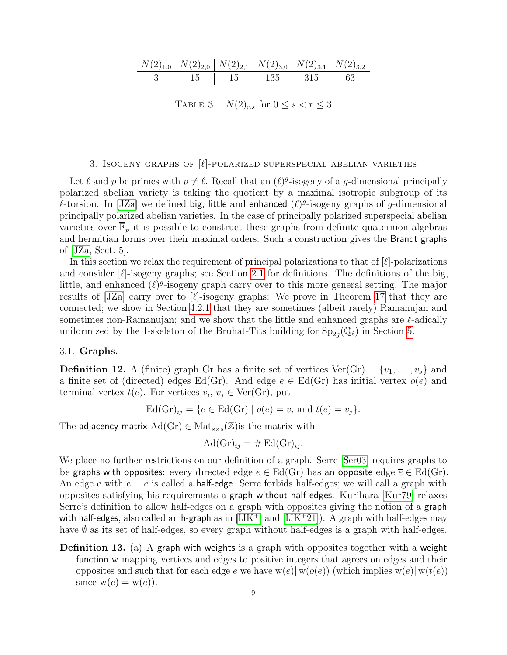N(2)1,<sup>0</sup> N(2)2,<sup>0</sup> N(2)2,<sup>1</sup> N(2)3,<sup>0</sup> N(2)3,<sup>1</sup> N(2)3,<sup>2</sup> 3 15 15 135 315 63

<span id="page-8-2"></span>TABLE 3.  $N(2)_{r,s}$  for  $0 \leq s < r \leq 3$ 

## 3. ISOGENY GRAPHS OF  $[\ell]$ -POLARIZED SUPERSPECIAL ABELIAN VARIETIES

<span id="page-8-0"></span>Let  $\ell$  and p be primes with  $p \neq \ell$ . Recall that an  $(\ell)^{g}$ -isogeny of a g-dimensional principally polarized abelian variety is taking the quotient by a maximal isotropic subgroup of its  $\ell$ -torsion. In [\[JZa\]](#page-29-0) we defined big, little and enhanced  $(\ell)^g$ -isogeny graphs of g-dimensional principally polarized abelian varieties. In the case of principally polarized superspecial abelian varieties over  $\overline{\mathbb{F}}_p$  it is possible to construct these graphs from definite quaternion algebras and hermitian forms over their maximal orders. Such a construction gives the Brandt graphs of [\[JZa,](#page-29-0) Sect. 5].

In this section we relax the requirement of principal polarizations to that of  $|\ell|$ -polarizations and consider  $[\ell]$ -isogeny graphs; see Section [2.1](#page-3-1) for definitions. The definitions of the big, little, and enhanced  $(\ell)^g$ -isogeny graph carry over to this more general setting. The major results of  $JZa$  carry over to  $[\ell]$ -isogeny graphs: We prove in Theorem [17](#page-14-3) that they are connected; we show in Section [4.2.1](#page-15-1) that they are sometimes (albeit rarely) Ramanujan and sometimes non-Ramanujan; and we show that the little and enhanced graphs are  $\ell$ -adically uniformized by the 1-skeleton of the Bruhat-Tits building for  $\text{Sp}_{2g}(\mathbb{Q}_\ell)$  in Section [5.](#page-16-0)

## <span id="page-8-1"></span>3.1. Graphs.

**Definition 12.** A (finite) graph Gr has a finite set of vertices  $Ver(Gr) = \{v_1, \ldots, v_s\}$  and a finite set of (directed) edges Ed(Gr). And edge  $e \in Ed(Gr)$  has initial vertex  $o(e)$  and terminal vertex  $t(e)$ . For vertices  $v_i, v_j \in \text{Ver}(Gr)$ , put

$$
Ed(Gr)_{ij} = \{e \in Ed(Gr) \mid o(e) = v_i \text{ and } t(e) = v_j\}.
$$

The adjacency matrix  $\text{Ad}(Gr) \in \text{Mat}_{s \times s}(\mathbb{Z})$  is the matrix with

$$
Ad(Gr)_{ij} = \# Ed(Gr)_{ij}.
$$

We place no further restrictions on our definition of a graph. Serre [\[Ser03\]](#page-29-4) requires graphs to be graphs with opposites: every directed edge  $e \in Ed(Gr)$  has an opposite edge  $\overline{e} \in Ed(Gr)$ . An edge e with  $\overline{e} = e$  is called a half-edge. Serre forbids half-edges; we will call a graph with opposites satisfying his requirements a graph without half-edges. Kurihara [\[Kur79\]](#page-29-5) relaxes Serre's definition to allow half-edges on a graph with opposites giving the notion of a graph with half-edges, also called an h-graph as in  $[IJK^+]$  $[IJK^+]$  and  $[IJK^+21]$ ). A graph with half-edges may have  $\emptyset$  as its set of half-edges, so every graph without half-edges is a graph with half-edges.

Definition 13. (a) A graph with weights is a graph with opposites together with a weight function w mapping vertices and edges to positive integers that agrees on edges and their opposites and such that for each edge e we have  $w(e)|w(o(e))$  (which implies  $w(e)|w(t(e))$ since  $w(e) = w(\overline{e})$ .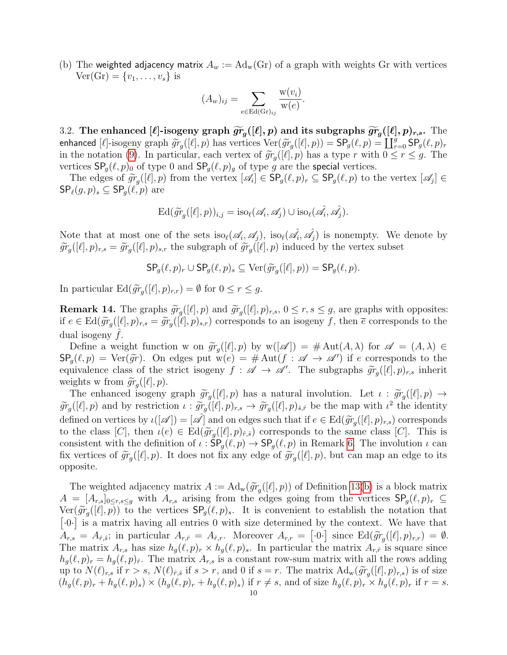<span id="page-9-1"></span>(b) The weighted adjacency matrix  $A_w := \text{Ad}_w(Gr)$  of a graph with weights Gr with vertices  $\text{Ver}(Gr) = \{v_1, \ldots, v_s\}$  is

$$
(A_w)_{ij} = \sum_{e \in \text{Ed}(\text{Gr})_{ij}} \frac{\text{w}(v_i)}{\text{w}(e)}.
$$

<span id="page-9-0"></span>3.2. The enhanced  $[\ell]$ -isogeny graph  $\widetilde{gr}_g([\ell], p)$  and its subgraphs  $\widetilde{gr}_g([\ell], p)_{r,s}$ . The contract  $[\ell]$  isogeny graph  $\widetilde{gr}([\ell], p)$  bes vertices  $\text{Var}(\widetilde{gr}([\ell], p))$  = SD  $(\ell, p)$  = U<sup>g</sup> SD  $(\ell, p)$ enhanced [ $\ell$ ]-isogeny graph  $\widetilde{gr}_g([\ell], p)$  has vertices  $\text{Ver}(\widetilde{gr}_g([\ell], p)) = \text{SP}_g(\ell, p) = \coprod_{r=0}^g \text{SP}_g(\ell, p)_r$ <br>in the notation (0). In perticular, each vertex of  $\widetilde{gr}([\ell], p)$  has a type  $x$  with  $0 \le x \le g$ . The in the notation [\(9\)](#page-5-4). In particular, each vertex of  $\widetilde{gr}_g([\ell], p)$  has a type r with  $0 \le r \le g$ . The vertices  $\mathsf{SP}_g(\ell, p)_0$  of type 0 and  $\mathsf{SP}_g(\ell, p)_g$  of type g are the special vertices.

The edges of  $\widetilde{gr}_g([\ell], p)$  from the vertex  $[\mathscr{A}_i] \in \mathsf{SP}_g(\ell, p)_r \subseteq \mathsf{SP}_g(\ell, p)$  to the vertex  $[\mathscr{A}_j] \in$ <br> $P_g(\ell, p) \subset \mathsf{SP}(\ell, p)$  are  $\mathsf{SP}_{\ell}(g, p)_s \subseteq \mathsf{SP}_{q}(\ell, p)$  are

$$
\mathrm{Ed}(\widetilde{gr}_g([\ell], p))_{i,j} = \mathrm{iso}_{\ell}(\mathscr{A}_i, \mathscr{A}_j) \cup \mathrm{iso}_{\ell}(\hat{\mathscr{A}_i}, \hat{\mathscr{A}_j}).
$$

Note that at most one of the sets  $\text{iso}_{\ell}(\mathscr{A}_i, \mathscr{A}_j)$ ,  $\text{iso}_{\ell}(\hat{\mathscr{A}_i}, \hat{\mathscr{A}_j})$  is nonempty. We denote by  $\widetilde{gr}_g([\ell], p)_{r,s} = \widetilde{gr}_g([\ell], p)_{s,r}$  the subgraph of  $\widetilde{gr}_g([\ell], p)$  induced by the vertex subset

$$
\mathsf{SP}_g(\ell,p)_r \cup \mathsf{SP}_g(\ell,p)_s \subseteq \mathrm{Ver}(\widetilde{gr}_g([\ell],p)) = \mathsf{SP}_g(\ell,p).
$$

In particular  $\mathrm{Ed}(\widetilde{gr}_g([\ell], p)_{r,r}) = \emptyset$  for  $0 \le r \le g$ .

<span id="page-9-2"></span>**Remark 14.** The graphs  $\widetilde{gr}_g([\ell], p)$  and  $\widetilde{gr}_g([\ell], p)_{r,s}$ ,  $0 \le r, s \le g$ , are graphs with opposites:<br>if  $e \in \text{Ed}(\widetilde{gr}([\ell], p)) = \widetilde{gr}([\ell], p)$ . corresponds to an isogeny f then  $\overline{g}$  corresponds to the if  $e \in \text{Ed}(\widetilde{gr}_g([\ell], p)_{r,s} = \widetilde{gr}_g([\ell], p)_{s,r})$  corresponds to an isogeny f, then  $\overline{e}$  corresponds to the dual isogeny  $f$ .

Define a weight function w on  $\widetilde{gr}_g([\ell], p)$  by  $w([\mathscr{A}]) = \# Aut(A, \lambda)$  for  $\mathscr{A} = (A, \lambda) \in$ <br>  $\Omega(\ell, p) = \text{Var}(\widetilde{\mathscr{A}})$ . On edges put  $w(e) = \# Aut(f : \mathscr{A} \rightarrow \mathscr{A}')$  if a corresponds to the  $\mathsf{SP}_g(\ell, p) = \mathrm{Ver}(\widetilde{gr})$ . On edges put  $w(e) = # \mathrm{Aut}(f : \mathscr{A} \to \mathscr{A}')$  if e corresponds to the equivalence class of the strict isogeny  $f : \mathscr{A} \to \mathscr{A}'$ . The subgraphs  $\widetilde{gr}([\ell], p)$  inherity equivalence class of the strict isogeny  $f : \mathscr{A} \to \mathscr{A}'$ . The subgraphs  $\widetilde{gr}_g([\ell], p)_{r,s}$  inherity weights we from  $\widetilde{gr}_g([\ell], p)$ weights w from  $\widetilde{gr}_g([\ell], p)$ .<br>The ophanood isomory.

The enhanced isogeny graph  $\widetilde{gr}_g([\ell], p)$  has a natural involution. Let  $\iota : \widetilde{gr}_g([\ell], p) \to$  $\widetilde{gr}_g([\ell], p)$  and by restriction  $\iota : \widetilde{gr}_g([\ell], p)_{r,s} \to \widetilde{gr}_g([\ell], p)_{\hat{s},\hat{r}}$  be the map with  $\iota^2$  the identity defined on vertices by  $\iota([\mathscr{A}]) = [\mathscr{A}]$  and on edges such that if  $e \in \text{Ed}(\widetilde{gr}_g([\ell], p)_{r,s})$  corresponds<br>to the class  $[G]$ , then  $\iota(e) \in \text{Ed}(\widetilde{gr}([\ell], p)_{r,s})$  corresponds to the same class  $[G]$ . This is to the class  $[C]$ , then  $\iota(e) \in \text{Ed}(\widetilde{gr}_g([\ell], p)_{\hat{r},\hat{s}})$  corresponds to the same class  $[C]$ . This is consistent with the definition of  $\iota : \mathsf{SP}_g(\ell, p) \to \mathsf{SP}_g(\ell, p)$  in Remark [6.](#page-6-2) The involution  $\iota$  can fix vertices of  $\widetilde{gr}_g([\ell], p)$ . It does not fix any edge of  $\widetilde{gr}_g([\ell], p)$ , but can map an edge to its opposite opposite.

The weighted adjacency matrix  $A := \text{Ad}_w(\widetilde{gr}_g([\ell], p))$  of Definition [13\(](#page-0-0)[b\)](#page-9-1) is a block matrix  $-$  [A, 1, c) with A, exising from the edges going from the vertices SP(e, n)  $\subset$  $A = [A_{r,s}]_{0 \le r,s \le g}$  with  $A_{r,s}$  arising from the edges going from the vertices  $\mathsf{SP}_q(\ell, p)_r \subseteq$  $\text{Ver}(\widetilde{gr}_g([\ell], p))$  to the vertices  $\text{SP}_g(\ell, p)_s$ . It is convenient to establish the notation that  $\lceil 0 \cdot \rceil$  is a matrix having all entries 0 with size determined by the context. We have that  $A_{r,s} = A_{\hat{r},\hat{s}}$ ; in particular  $A_{r,\hat{r}} = A_{\hat{r},r}$ . Moreover  $A_{r,r} = [0.0]$  since  $\text{Ed}(\widetilde{gr}_g([\ell], p)_{r,r}) = \emptyset$ .<br>The matrix  $A_{r,\hat{r}}$  has size  $h(\ell,n) \times h(\ell,n)$ . In particular the matrix  $A_{r,\hat{r}}$  is source since The matrix  $A_{r,s}$  has size  $h_g(\ell, p)_r \times h_g(\ell, p)_s$ . In particular the matrix  $A_{r,\hat{r}}$  is square since  $h_g(\ell, p)_r = h_g(\ell, p)_{\hat{r}}$ . The matrix  $A_{r,s}$  is a constant row-sum matrix with all the rows adding up to  $N(\ell)_{r,s}$  if  $r > s$ ,  $N(\ell)_{\hat{r},\hat{s}}$  if  $s > r$ , and 0 if  $s = r$ . The matrix  $\text{Ad}_w(\widetilde{gr}_g([\ell], p)_{r,s})$  is of size  $(h_g(\ell, p)_r + h_g(\ell, p)_s) \times (h_g(\ell, p)_r + h_g(\ell, p)_s)$  if  $r \neq s$ , and of size  $h_g(\ell, p)_r \times h_g(\ell, p)_r$  if  $r = s$ .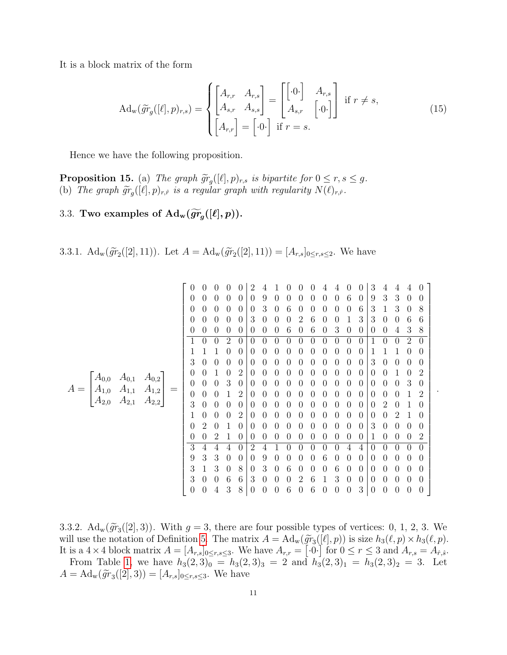It is a block matrix of the form

<span id="page-10-3"></span>
$$
\mathrm{Ad}_{\mathbf{w}}(\widetilde{gr}_{g}([\ell], p)_{r,s}) = \begin{cases} \begin{bmatrix} A_{r,r} & A_{r,s} \\ A_{s,r} & A_{s,s} \end{bmatrix} = \begin{bmatrix} \begin{bmatrix} .0 \cdot \end{bmatrix} & A_{r,s} \\ A_{s,r} & \begin{bmatrix} .0 \cdot \end{bmatrix} \end{bmatrix} \quad \text{if } r \neq s, \\ \begin{bmatrix} A_{r,r} \end{bmatrix} = \begin{bmatrix} .0 \cdot \end{bmatrix} \quad \text{if } r = s. \end{cases} \tag{15}
$$

Hence we have the following proposition.

**Proposition 15.** (a) The graph  $\widetilde{gr}_g([\ell], p)_{r,s}$  is bipartite for  $0 \le r, s \le g$ .<br>(b) The graph  $\widetilde{gr}([\ell], p)$ , is a regular graph with regularity  $N(\ell)$ . (b) The graph  $\widetilde{gr}_g([\ell], p)_{r,\hat{r}}$  is a regular graph with regularity  $N(\ell)_{r,\hat{r}}$ .

## <span id="page-10-0"></span>3.3. Two examples of  $\mathrm{Ad}_w(\widetilde{gr}_g([\ell], p)).$

<span id="page-10-1"></span>3.3.1.  $\mathrm{Ad}_w(\widetilde{gr}_2([2], 11))$ . Let  $A = \mathrm{Ad}_w(\widetilde{gr}_2([2], 11)) = [A_{r,s}]_{0 \le r,s \le 2}$ . We have

|                                     |                        |                               |          |                |                |                  |                | 2              |                  |          |   |                  |          |                  |          |                  | 0        | 3                |          |                |                  | $\theta$       |   |   |
|-------------------------------------|------------------------|-------------------------------|----------|----------------|----------------|------------------|----------------|----------------|------------------|----------|---|------------------|----------|------------------|----------|------------------|----------|------------------|----------|----------------|------------------|----------------|---|---|
|                                     |                        | O                             |          |                | 0              | $\theta$         | $\theta$       | 9              |                  |          |   |                  |          |                  | 6        | $\theta$         | 9        | 3                | 3        | 0              | $\theta$         |                |   |   |
|                                     |                        | $\theta$                      | 0        | 0              | $\theta$       | $\theta$         | $\theta$       | 3              | $\theta$         | 6        | 0 |                  |          | 0                | 0        | 6                | 3        |                  | 3        | $\theta$       | 8                |                |   |   |
|                                     |                        | $\theta$                      | 0        | 0              | $\theta$       | $\theta$         | 3              | 0              | $\theta$         | 0        | 2 | 6                |          | 0                |          | 3                | 3        | 0                | 0        | 6              | 6                |                |   |   |
|                                     |                        |                               |          |                | 0              | 0                | 0              | $\theta$       | $\theta$         | $\theta$ | 0 | 0                | 6        | O                | 6        |                  | 3        | 0                | $\theta$ | $\theta$       | 0                | 4              | 3 | 8 |
|                                     |                        |                               | 0        | 0              | 2              | $\left( \right)$ | $\theta$       | 0              | 0                | 0        |   |                  |          |                  | 0        | 0                |          | 0                |          | $\overline{2}$ | 0                |                |   |   |
|                                     |                        |                               |          |                |                | 0                | $\overline{0}$ | $\theta$       | 0                | 0        | 0 | 0                | 0        | $\left( \right)$ | 0        | 0                | $\theta$ | 1                |          |                |                  | $\Omega$       |   |   |
|                                     |                        |                               | 3        | $\theta$       | 0              | $\theta$         | $\theta$       | $\theta$       | 0                | $\theta$ | 0 | 0                | 0        | $\left( \right)$ | 0        | $\theta$         | $\theta$ | 3                | 0        | 0              | $\theta$         | $\theta$       |   |   |
|                                     |                        |                               |          |                | $\theta$       | 0                |                | $\theta$       | $\overline{2}$   | $\theta$ | 0 | $\theta$         | 0        | 0                | 0        | $\cup$           | 0        | $\theta$         | $\theta$ | 0              | 0                |                |   | 2 |
| $A_{0,0}$<br>$A_{0,1}$<br>$A_{0,2}$ |                        | $\theta$                      | 0        | $\theta$       | 3              | $\overline{0}$   | $\overline{0}$ | 0              | 0                | 0        |   |                  |          | 0                | 0        | $\theta$         | $\theta$ | 0                | $\theta$ | 3              | $\overline{0}$   |                |   |   |
| $\mathcal{A}_{1,0}$<br>$A =$        | $A_{1,1}$<br>$A_{2,1}$ | $A_{1,2}$<br>$A_{2,2}$<br>$=$ | $\theta$ | 0              | 0              |                  | $\overline{2}$ | $\theta$       | 0                | 0        | 0 | 0                | 0        |                  | 0        | $\theta$         | $\theta$ | $\boldsymbol{0}$ | 0        | $\Omega$       |                  | 2              |   |   |
| $A_{2,0}$                           |                        |                               | 3        | 0              | 0              | $\theta$         | $\theta$       | $\theta$       | 0                | 0        | 0 | U                | U        |                  | 0        | $\theta$         | $\theta$ | $\overline{0}$   | 2        | $\Omega$       |                  | $\theta$       |   |   |
|                                     |                        |                               | 0        | 0              | $\theta$       | $\overline{2}$   | $\theta$       | 0              | 0                | 0        |   |                  |          | 0                | 0        | $\theta$         | $\theta$ | 0                | 2        |                | 0                |                |   |   |
|                                     |                        |                               | 0        | $\overline{2}$ | 0              |                  | $\Omega$       | $\Omega$       | $\left( \right)$ | 0        |   |                  |          |                  | 0        | 0                | 0        | 3                | 0        | $\theta$       |                  | 0              |   |   |
|                                     |                        |                               |          |                | $\theta$       | 0                | 2              |                |                  | $\theta$ | 0 | 0                | O        | 0                |          |                  | 0        | 0                | $\theta$ | 1              | 0                | 0              |   | 2 |
|                                     |                        | 3                             | 4        |                |                | $\left( \right)$ | 2              |                |                  |          |   | 0                |          | 0                | 4        | 4                | $\theta$ | 0                | $^{(1)}$ |                | 0                |                |   |   |
|                                     |                        | 9                             | 3        | 3              | $\overline{0}$ | $\theta$         | $\theta$       | 9              | $\theta$         | 0        | 0 | 0                | 6        | 0                | $\theta$ | $\overline{0}$   | $\theta$ | 0                | 0        | $\theta$       | $\overline{0}$   |                |   |   |
|                                     |                        |                               | 3        |                | 3              | $\overline{0}$   | 8              | $\overline{0}$ | 3                | $\theta$ | 6 | $\left( \right)$ | $\theta$ |                  | 6        | $\boldsymbol{0}$ | $\theta$ | $\boldsymbol{0}$ | 0        | 0              | $\left( \right)$ | $\overline{0}$ |   |   |
|                                     |                        |                               | 3        | $\theta$       | $\theta$       | 6                | 6              | 3              | 0                | $\theta$ | 0 | 2                | 6        |                  | 3        | $\theta$         | $\theta$ | $\boldsymbol{0}$ | $\theta$ | 0              | $\theta$         | $\theta$       |   |   |
|                                     |                        |                               | 0        | 0              | 4              | 3                | 8              | $\theta$       | 0                | 0        | 6 |                  | 6        |                  | 0        | $\theta$         | 3        | $\overline{0}$   | 0        | $\theta$       | $\theta$         | $\theta$       |   |   |

.

<span id="page-10-2"></span>3.3.2.  $\text{Ad}_w(\widetilde{gr}_3([2],3))$ . With  $g = 3$ , there are four possible types of vertices: 0, 1, 2, 3. We will use the notation of Definition 5. The matrix  $A = Ad(\widetilde{gr}([l]_n))$  is size  $h_2(\ell, n) \times h_2(\ell, n)$ . will use the notation of Definition [5.](#page-5-5) The matrix  $A = \text{Ad}_w(\widetilde{gr}_3([\ell], p))$  is size  $h_3(\ell, p) \times h_3(\ell, p)$ .<br>It is a  $4 \times 4$  block matrix  $A = \begin{bmatrix} 4 & 1 \end{bmatrix}$ , when  $\alpha = \begin{bmatrix} 0 & 1 \end{bmatrix}$  for  $0 \le r \le 3$  and  $A = \begin{bmatrix} 4 & -1 \end{b$ It is a  $4 \times 4$  block matrix  $A = [A_{r,s}]_{0 \leq r,s \leq 3}$ . We have  $A_{r,r} = \lfloor 0 \cdot \rfloor$  for  $0 \leq r \leq 3$  and  $A_{r,s} = A_{\hat{r},\hat{s}}$ .

From Table [1,](#page-5-1) we have  $h_3(2,3)_0 = h_3(2,3)_3 = 2$  and  $h_3(2,3)_1 = h_3(2,3)_2 = 3$ . Let  $A = \text{Ad}_{w}(\tilde{gr}_3([2], 3)) = [A_{r,s}]_{0 \le r,s \le 3}$ . We have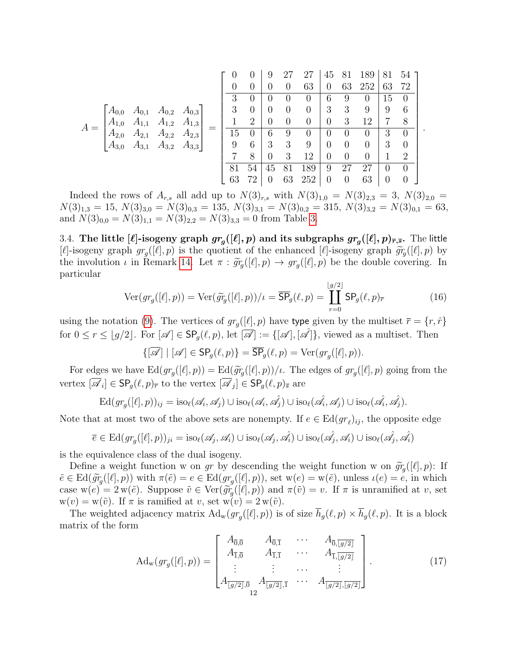| $A_{0,0}$<br>$A_{0,1}$<br>$A_{0,2}$<br>$A_{0,3}$<br>$A_{1,0}$<br>$A_{1,2}$<br>$A_{1,3}$<br>$A_{1,1}$<br>$A =$<br>$A_{2,0}$<br>$A_{2,3}$<br>$A_{2,1}$<br>$A_{2,2}$<br>$A_{3,0}$<br>$A_{3,2}$<br>$A_{3,1}$<br>$A_{3,3}$ | $\theta$<br>3<br>3<br>1<br>15<br>9<br>7<br>81 | 0<br>$\theta$<br>$\overline{0}$<br>2<br>$\theta$<br>6<br>8<br>54 | 9<br>$\theta$<br>U<br>0<br>$\left( \right)$<br>6<br>3<br>0<br>45 | 27<br>$\theta$<br>$\theta$<br>9<br>3<br>3 | 27<br>63<br>$\theta$<br>$\theta$<br>$\overline{0}$<br>$\theta$<br>9<br>12<br>189 | 45<br>0<br>6<br>3<br>$\theta$<br>O<br>$\overline{0}$<br>0<br>9 | 81<br>63<br>9<br>3<br>3<br>$\theta$<br>0<br>$\overline{0}$<br>27 | 189<br>252<br>$\theta$<br>9<br>12<br>$\theta$<br>0<br>$\theta$<br>27 | 81<br>63<br>15<br>9<br>7<br>3<br>3<br>$\left( \right)$ | 54<br>72<br>$\left( \right)$<br>6<br>8<br>$\theta$<br>$\theta$<br>$\mathcal{D}_{\mathcal{L}}$<br>$\left( \right)$ |  |
|-----------------------------------------------------------------------------------------------------------------------------------------------------------------------------------------------------------------------|-----------------------------------------------|------------------------------------------------------------------|------------------------------------------------------------------|-------------------------------------------|----------------------------------------------------------------------------------|----------------------------------------------------------------|------------------------------------------------------------------|----------------------------------------------------------------------|--------------------------------------------------------|-------------------------------------------------------------------------------------------------------------------|--|
|                                                                                                                                                                                                                       |                                               |                                                                  |                                                                  |                                           |                                                                                  |                                                                |                                                                  |                                                                      |                                                        |                                                                                                                   |  |
|                                                                                                                                                                                                                       | 63                                            | 72                                                               | O                                                                | 63                                        | 252                                                                              | $\overline{0}$                                                 | $\overline{0}$                                                   | 63                                                                   | $\overline{0}$                                         | 0                                                                                                                 |  |

Indeed the rows of  $A_{r,s}$  all add up to  $N(3)_{r,s}$  with  $N(3)_{1,0} = N(3)_{2,3} = 3, N(3)_{2,0} =$  $N(3)_{1,3} = 15, N(3)_{3,0} = N(3)_{0,3} = 135, N(3)_{3,1} = N(3)_{0,2} = 315, N(3)_{3,2} = N(3)_{0,1} = 63,$ and  $N(3)_{0,0} = N(3)_{1,1} = N(3)_{2,2} = N(3)_{3,3} = 0$  from Table [3.](#page-8-2)

<span id="page-11-0"></span>3.4. The little [ $\ell$ ]-isogeny graph  $gr_g([\ell], p)$  and its subgraphs  $gr_g([\ell], p)_{\overline{r}, \overline{s}}.$  The little [ $\ell$ ]-isogeny graph  $gr_g([\ell], p)$  is the quotient of the enhanced [ $\ell$ ]-isogeny graph  $\widetilde{gr}_g([\ell], p)$  by<br>the involution  $\ell$  in Bomark 14, Let  $\pi : \widetilde{gr}([\ell], p) \to \ell gr([\ell], p)$  be the double covering. In the involution  $\iota$  in Remark [14.](#page-9-2) Let  $\pi : \widetilde{gr}_g([\ell], p) \to gr_g([\ell], p)$  be the double covering. In particular particular

$$
\text{Ver}(gr_g([\ell], p)) = \text{Ver}(\widetilde{gr}_g([\ell], p))/\iota = \overline{\text{SP}}_g(\ell, p) = \coprod_{r=0}^{\lfloor g/2 \rfloor} \text{SP}_g(\ell, p)_{\overline{r}}
$$
(16)

.

using the notation [\(9\)](#page-5-4). The vertices of  $gr_g([\ell], p)$  have type given by the multiset  $\bar{r} = \{r, \hat{r}\}\$ for  $0 \le r \le |g/2|$ . For  $[\mathscr{A}] \in \mathsf{SP}_q(\ell, p)$ , let  $[\overline{\mathscr{A}}] := \{[\mathscr{A}], [\mathscr{A}]\}$ , viewed as a multiset. Then

 $\{[\mathscr{A}] \mid [\mathscr{A}] \in \mathsf{SP}_g(\ell,p)\} = \mathsf{SP}_g(\ell,p) = \mathrm{Ver}(gr_g([\ell], p)).$ 

For edges we have  $\text{Ed}(gr_g([\ell], p)) = \text{Ed}(\widetilde{gr}_g([\ell], p))/\iota$ . The edges of  $gr_g([\ell], p)$  going from the vertex  $[\mathscr{A}_i] \in \mathsf{SP}_g(\ell,p)_{\overline{r}}$  to the vertex  $[\mathscr{A}_j] \in \mathsf{SP}_g(\ell,p)_{\overline{s}}$  are

$$
\mathrm{Ed}(gr_{g}([\ell], p))_{ij} = \mathrm{iso}_{\ell}(\mathscr{A}_{i}, \mathscr{A}_{j}) \cup \mathrm{iso}_{\ell}(\mathscr{A}_{i}, \mathscr{A}_{j}) \cup \mathrm{iso}_{\ell}(\mathscr{A}_{i}, \mathscr{A}_{j}) \cup \mathrm{iso}_{\ell}(\mathscr{A}_{i}, \mathscr{A}_{j}).
$$

Note that at most two of the above sets are nonempty. If  $e \in Ed(gr_{\ell})_{ij}$ , the opposite edge

$$
\overline{e} \in \mathrm{Ed}(gr_g([\ell],p))_{ji} = \mathrm{iso}_\ell(\mathscr{A}_j, \mathscr{A}_i) \cup \mathrm{iso}_\ell(\mathscr{A}_j, \hat{\mathscr{A}_i}) \cup \mathrm{iso}_\ell(\hat{\mathscr{A}_j, \mathscr{A}_i}) \cup \mathrm{iso}_\ell(\hat{\mathscr{A}_j, \hat{\mathscr{A}_i}})
$$

is the equivalence class of the dual isogeny.

Define a weight function w on gr by descending the weight function w on  $\widetilde{gr}_g([\ell], p)$ : If  $\tilde{e} \in \text{Ed}(\tilde{g}_{\mathcal{G}}([l], p))$  with  $\pi(\tilde{e}) = e \in \text{Ed}(gr_g([l], p))$ , set  $w(e) = w(\tilde{e})$ , unless  $\iota(e) = e$ , in which case  $w(e) = 2 w(\tilde{e})$ . Suppose  $\tilde{v} \in \text{Ver}(\tilde{gr}_g([\ell], p))$  and  $\pi(\tilde{v}) = v$ . If  $\pi$  is unramified at v, set  $w(v) = w(\tilde{v})$ . If  $\pi$  is ramified at v, set  $w(v) = w(\tilde{v})$ . If  $\pi$  is ramified at v, set  $w(v) = 2 w(\tilde{v})$ .

The weighted adjacency matrix  $\text{Ad}_w(g_{g}([\ell], p))$  is of size  $h_g(\ell, p) \times h_g(\ell, p)$ . It is a block matrix of the form

<span id="page-11-1"></span>
$$
\mathrm{Ad}_{\mathrm{w}}(gr_{g}([\ell], p)) = \begin{bmatrix} A_{\overline{0},\overline{0}} & A_{\overline{0},\overline{1}} & \cdots & A_{\overline{0},\overline{[g/2]}} \\ A_{\overline{1},\overline{0}} & A_{\overline{1},\overline{1}} & \cdots & A_{\overline{1},\overline{[g/2]}} \\ \vdots & \vdots & \cdots & \vdots \\ A_{\overline{[g/2]},\overline{0}} & A_{\overline{[g/2]},\overline{1}} & \cdots & A_{\overline{[g/2]},\overline{[g/2]}} \end{bmatrix} . \tag{17}
$$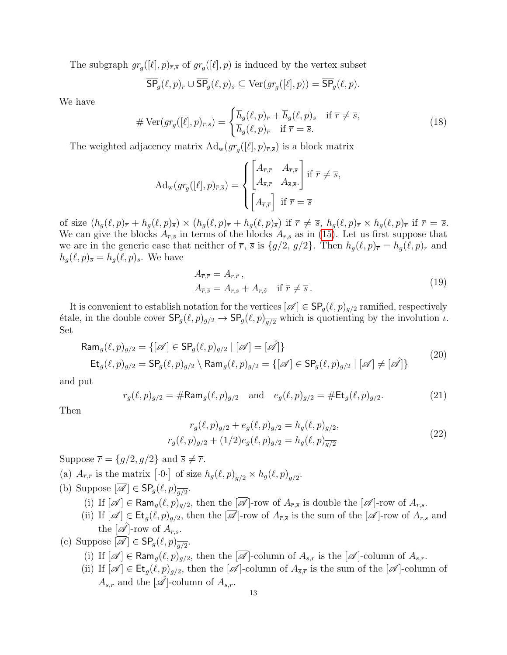The subgraph  $gr_g([\ell], p)_{\overline{r},\overline{s}}$  of  $gr_g([\ell], p)$  is induced by the vertex subset

$$
\overline{\mathsf{SP}}_g(\ell,p)_{\overline{r}} \cup \overline{\mathsf{SP}}_g(\ell,p)_{\overline{s}} \subseteq \operatorname{Ver}(gr_g([\ell],p)) = \overline{\mathsf{SP}}_g(\ell,p).
$$

We have

$$
\# \operatorname{Ver}(gr_g([\ell], p)_{\overline{r}, \overline{s}}) = \begin{cases} \overline{h}_g(\ell, p)_{\overline{r}} + \overline{h}_g(\ell, p)_{\overline{s}} & \text{if } \overline{r} \neq \overline{s}, \\ \overline{h}_g(\ell, p)_{\overline{r}} & \text{if } \overline{r} = \overline{s}. \end{cases}
$$
(18)

The weighted adjacency matrix  $\text{Ad}_w(g_{r_g}([\ell], p)_{\overline{r},\overline{s}})$  is a block matrix

$$
\operatorname{Ad}_{\mathbf{w}}(gr_{g}([\ell], p)_{\overline{r}, \overline{s}}) = \begin{cases} \begin{bmatrix} A_{\overline{r}, \overline{r}} & A_{\overline{r}, \overline{s}} \\ A_{\overline{s}, \overline{r}} & A_{\overline{s}, \overline{s}} \end{bmatrix} \text{ if } \overline{r} \neq \overline{s}, \\ \begin{bmatrix} A_{\overline{r}, \overline{r}} \end{bmatrix} \text{ if } \overline{r} = \overline{s} \end{cases}
$$

of size  $(h_q(\ell, p)_{\overline{r}} + h_q(\ell, p)_{\overline{s}}) \times (h_q(\ell, p)_{\overline{r}} + h_q(\ell, p)_{\overline{s}})$  if  $\overline{r} \neq \overline{s}$ ,  $h_q(\ell, p)_{\overline{r}} \times h_q(\ell, p)_{\overline{r}}$  if  $\overline{r} = \overline{s}$ . We can give the blocks  $A_{\overline{r},\overline{s}}$  in terms of the blocks  $A_{r,s}$  as in [\(15\)](#page-10-3). Let us first suppose that we are in the generic case that neither of  $\overline{r}$ ,  $\overline{s}$  is  $\{g/2, g/2\}$ . Then  $h_g(\ell, p)_{\overline{r}} = h_g(\ell, p)_r$  and  $h_g(\ell, p)_{\overline{s}} = h_g(\ell, p)_s$ . We have

$$
A_{\overline{r}, \overline{r}} = A_{r, \hat{r}},
$$
  
\n
$$
A_{\overline{r}, \overline{s}} = A_{r, s} + A_{r, \hat{s}} \quad \text{if } \overline{r} \neq \overline{s}.
$$
\n(19)

It is convenient to establish notation for the vertices  $[\mathscr{A}] \in \mathsf{SP}_g(\ell, p)_{g/2}$  ramified, respectively étale, in the double cover  $\mathsf{SP}_g(\ell, p)_{g/2} \to \mathsf{SP}_g(\ell, p)_{\overline{g/2}}$  which is quotienting by the involution  $\iota$ . Set

$$
\text{Ram}_{g}(\ell, p)_{g/2} = \{ [\mathscr{A}] \in \text{SP}_{g}(\ell, p)_{g/2} \mid [\mathscr{A}] = [\mathscr{A}]\}
$$
\n
$$
\text{Et}_{g}(\ell, p)_{g/2} = \text{SP}_{g}(\ell, p)_{g/2} \setminus \text{Ram}_{g}(\ell, p)_{g/2} = \{ [\mathscr{A}] \in \text{SP}_{g}(\ell, p)_{g/2} \mid [\mathscr{A}] \neq [\mathscr{A}]\}
$$
\n(20)

and put

$$
r_g(\ell, p)_{g/2} = \# \text{Ram}_g(\ell, p)_{g/2} \quad \text{and} \quad e_g(\ell, p)_{g/2} = \# \text{Et}_g(\ell, p)_{g/2}.
$$
 (21)

<span id="page-12-0"></span>Then

$$
r_g(\ell, p)_{g/2} + e_g(\ell, p)_{g/2} = h_g(\ell, p)_{g/2},
$$
  

$$
r_g(\ell, p)_{g/2} + (1/2)e_g(\ell, p)_{g/2} = h_g(\ell, p)_{\overline{g/2}}
$$
 (22)

Suppose  $\overline{r} = \{g/2, g/2\}$  and  $\overline{s} \neq \overline{r}$ .

- (a)  $A_{\overline{r}, \overline{r}}$  is the matrix  $[\cdot 0 \cdot]$  of size  $h_g(\ell, p)_{\overline{g/2}} \times h_g(\ell, p)_{\overline{g/2}}$ .
- (b) Suppose  $[\mathscr{A}] \in \mathsf{SP}_g(\ell,p)_{\overline{g/2}}$ .
	- (i) If  $[\mathscr{A}] \in \text{Ram}_{q}(\ell, p)_{q/2}$ , then the  $[\mathscr{A}]$ -row of  $A_{\overline{r}, \overline{s}}$  is double the  $[\mathscr{A}]$ -row of  $A_{r,s}$ .
	- (ii) If  $[\mathscr{A}] \in \mathsf{Et}_g(\ell, p)_{g/2}$ , then the  $[\mathscr{\overline{A}}]$ -row of  $A_{\overline{r},\overline{s}}$  is the sum of the  $[\mathscr{A}]$ -row of  $A_{r,s}$  and the  $[\hat{\mathscr{A}}]$ -row of  $A_{r,s}$ .
- (c) Suppose  $[\mathscr{A}] \in \mathsf{SP}_g(\ell,p)_{\overline{g/2}}$ .
	- (i) If  $[\mathscr{A}] \in \text{Ram}_{q}(\ell, p)_{q/2}$ , then the  $[\overline{\mathscr{A}}]$ -column of  $A_{\overline{s}, \overline{r}}$  is the  $[\mathscr{A}]$ -column of  $A_{s,r}$ .
	- (ii) If  $[\mathscr{A}] \in \mathsf{Et}_g(\ell, p)_{g/2}$ , then the  $[\overline{\mathscr{A}}]$ -column of  $A_{\overline{s}, \overline{r}}$  is the sum of the  $[\mathscr{A}]$ -column of  $A_{s,r}$  and the  $[\hat{\mathscr{A}}]$ -column of  $A_{s,r}$ .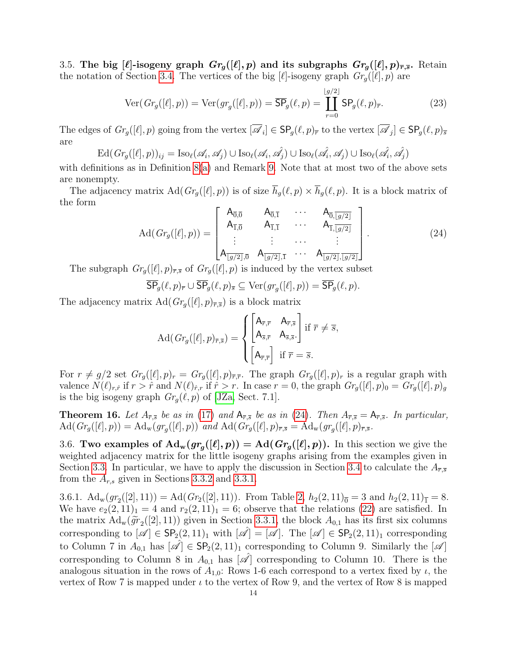<span id="page-13-0"></span>3.5. The big  $[\ell]$ -isogeny graph  $Gr_g([\ell], p)$  and its subgraphs  $Gr_g([\ell], p)_{\overline{r}, \overline{s}}$ . Retain the notation of Section [3.4.](#page-11-0) The vertices of the big  $[\ell]$ -isogeny graph  $Gr_{g}([\ell], p)$  are

$$
\text{Ver}(Gr_g([\ell], p)) = \text{Ver}(gr_g([\ell], p)) = \overline{\text{SP}}_g(\ell, p) = \coprod_{r=0}^{\lfloor g/2 \rfloor} \text{SP}_g(\ell, p)_{\overline{r}}.
$$
 (23)

The edges of  $Gr_g([\ell], p)$  going from the vertex  $[\mathscr{A}_i] \in \mathsf{SP}_g(\ell, p)_{\overline{r}}$  to the vertex  $[\mathscr{A}_j] \in \mathsf{SP}_g(\ell, p)_{\overline{s}}$ are

$$
\mathrm{Ed}(\mathit{Gr}_{g}([\ell], p))_{ij} = \mathrm{Iso}_{\ell}(\mathscr{A}_{i}, \mathscr{A}_{j}) \cup \mathrm{Iso}_{\ell}(\mathscr{A}_{i}, \hat{\mathscr{A}_{j}}) \cup \mathrm{Iso}_{\ell}(\hat{\mathscr{A}_{i}}, \mathscr{A}_{j}) \cup \mathrm{Iso}_{\ell}(\hat{\mathscr{A}_{i}}, \hat{\mathscr{A}_{j}})
$$

with definitions as in Definition  $8(a)$  $8(a)$  and Remark [9.](#page-7-4) Note that at most two of the above sets are nonempty.

The adjacency matrix  $\text{Ad}(Gr_g([\ell], p))$  is of size  $\overline{h}_g(\ell, p) \times \overline{h}_g(\ell, p)$ . It is a block matrix of the form

<span id="page-13-3"></span>
$$
\operatorname{Ad}(Gr_g([\ell], p)) = \begin{bmatrix} A_{\overline{0},\overline{0}} & A_{\overline{0},\overline{1}} & \cdots & A_{\overline{0},\overline{[g/2]}} \\ A_{\overline{1},\overline{0}} & A_{\overline{1},\overline{1}} & \cdots & A_{\overline{1},\overline{[g/2]}} \\ \vdots & \vdots & \cdots & \vdots \\ A_{\overline{[g/2]},\overline{0}} & A_{\overline{[g/2]},\overline{1}} & \cdots & A_{\overline{[g/2]},\overline{[g/2]}} \end{bmatrix} . \tag{24}
$$

The subgraph  $Gr_g([\ell], p)_{\overline{r},\overline{s}}$  of  $Gr_g([\ell], p)$  is induced by the vertex subset

$$
\overline{\mathsf{SP}}_g(\ell,p)_{\overline{r}} \cup \overline{\mathsf{SP}}_g(\ell,p)_{\overline{s}} \subseteq \operatorname{Ver}(gr_g([\ell],p)) = \overline{\mathsf{SP}}_g(\ell,p).
$$

The adjacency matrix  $\text{Ad}(Gr_g([\ell], p)_{\overline{r},\overline{s}})$  is a block matrix

$$
\operatorname{Ad}(Gr_{g}([\ell], p)_{\overline{r}, \overline{s}}) = \begin{cases} \begin{bmatrix} A_{\overline{r}, \overline{r}} & A_{\overline{r}, \overline{s}} \\ A_{\overline{s}, \overline{r}} & A_{\overline{s}, \overline{s}} \end{bmatrix} \text{if } \overline{r} \neq \overline{s}, \\ \begin{bmatrix} A_{\overline{r}, \overline{r}} \end{bmatrix} \text{ if } \overline{r} = \overline{s}. \end{cases}
$$

For  $r \neq g/2$  set  $Gr_g([\ell], p)_r = Gr_g([\ell], p)_{\overline{r}, \overline{r}}$ . The graph  $Gr_g([\ell], p)_r$  is a regular graph with valence  $N(\ell)_{r,\hat{r}}$  if  $r > \hat{r}$  and  $N(\ell)_{\hat{r},r}$  if  $\hat{r} > r$ . In case  $r = 0$ , the graph  $Gr_g([\ell], p)_0 = Gr_g([\ell], p)_g$ is the big isogeny graph  $Gr_q(\ell, p)$  of [\[JZa,](#page-29-0) Sect. 7.1].

<span id="page-13-4"></span>**Theorem 16.** Let  $A_{\bar{r},\bar{s}}$  be as in [\(17\)](#page-11-1) and  $A_{\bar{r},\bar{s}}$  be as in [\(24\)](#page-13-3). Then  $A_{\bar{r},\bar{s}} = A_{\bar{r},\bar{s}}$ . In particular,  $\operatorname{Ad}(Gr_g([\ell], p)) = \operatorname{Ad}_{\rm w}(gr_g([\ell], p))$  and  $\operatorname{Ad}(Gr_g([\ell], p)_{\overline{r}, \overline{s}} = \operatorname{Ad}_{\rm w}(gr_g([\ell], p)_{\overline{r}, \overline{s}})$ .

<span id="page-13-1"></span>3.6. Two examples of  $\text{Ad}_w(gr_g([\ell], p)) = \text{Ad}(Gr_g([\ell], p))$ . In this section we give the weighted adjacency matrix for the little isogeny graphs arising from the examples given in Section [3.3.](#page-10-0) In particular, we have to apply the discussion in Section [3.4](#page-11-0) to calculate the  $A_{\bar{r},\bar{s}}$ from the  $A_{r,s}$  given in Sections [3.3.2](#page-10-2) and [3.3.1.](#page-10-1)

<span id="page-13-2"></span>3.6.1.  $\operatorname{Ad}_w(gr_2([2], 11)) = \operatorname{Ad}(Gr_2([2], 11))$ . From Table [2,](#page-6-0)  $h_2(2, 11)_{\overline{0}} = 3$  and  $h_2(2, 11)_{\overline{1}} = 8$ . We have  $e_2(2, 11)_1 = 4$  and  $r_2(2, 11)_1 = 6$ ; observe that the relations [\(22\)](#page-12-0) are satisfied. In the matrix  $\text{Ad}_w(\widetilde{gr}_2([2],11))$  given in Section [3.3.1,](#page-10-1) the block  $A_{0,1}$  has its first six columns corresponding to  $[\mathscr{A}] \in \mathsf{SP}_2(2, 11)_1$  with  $[\mathscr{A}] = [\mathscr{A}]$ . The  $[\mathscr{A}] \in \mathsf{SP}_2(2, 11)_1$  corresponding to Column 7 in  $A_{0,1}$  has  $[\mathscr{A}] \in \mathsf{SP}_2(2,11)_1$  corresponding to Column 9. Similarly the  $[\mathscr{A}]$ corresponding to Column 8 in  $A_{0,1}$  has  $[\mathscr{A}]$  corresponding to Column 10. There is the analogous situation in the rows of  $A_{1,0}$ : Rows 1-6 each correspond to a vertex fixed by  $\iota$ , the vertex of Row 7 is mapped under  $\iota$  to the vertex of Row 9, and the vertex of Row 8 is mapped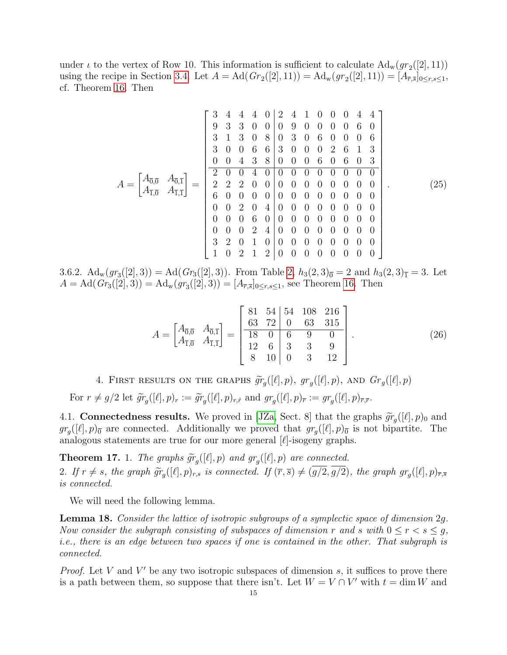under  $\iota$  to the vertex of Row 10. This information is sufficient to calculate  $\text{Ad}_{w}(gr_2([2], 11))$ using the recipe in Section [3.4.](#page-11-0) Let  $A = \text{Ad}(Gr_2([2], 11)) = \text{Ad}_{w}(gr_2([2], 11)) = [A_{\overline{r}, \overline{s}}]_{0 \le r, s \le 1},$ cf. Theorem [16.](#page-13-4) Then

A = A0,<sup>0</sup> A0,<sup>1</sup> A1,<sup>0</sup> A1,<sup>1</sup> = 3 4 4 4 0 2 4 1 0 0 0 4 4 9 3 3 0 0 0 9 0 0 0 0 6 0 3 1 3 0 8 0 3 0 6 0 0 0 6 3 0 0 6 6 3 0 0 0 2 6 1 3 0 0 4 3 8 0 0 0 6 0 6 0 3 2 0 0 4 0 0 0 0 0 0 0 0 0 2 2 2 0 0 0 0 0 0 0 0 0 0 6 0 0 0 0 0 0 0 0 0 0 0 0 0 0 2 0 4 0 0 0 0 0 0 0 0 0 0 0 6 0 0 0 0 0 0 0 0 0 0 0 0 2 4 0 0 0 0 0 0 0 0 3 2 0 1 0 0 0 0 0 0 0 0 0 1 0 2 1 2 0 0 0 0 0 0 0 0 . (25)

<span id="page-14-0"></span>3.6.2.  $\operatorname{Ad}_w(gr_3([2],3)) = \operatorname{Ad}(Gr_3([2],3))$ . From Table [2,](#page-6-0)  $h_3(2,3)_{\overline{0}} = 2$  and  $h_3(2,3)_{\overline{1}} = 3$ . Let  $A = \text{Ad}(Gr_3([2], 3)) = \text{Ad}_{w}(gr_3([2], 3)) = [A_{\overline{r}, \overline{s}}]_{0 \leq r, s \leq 1}$ , see Theorem [16.](#page-13-4) Then

$$
A = \begin{bmatrix} A_{\overline{0},\overline{0}} & A_{\overline{0},\overline{1}} \\ A_{\overline{1},\overline{0}} & A_{\overline{1},\overline{1}} \end{bmatrix} = \begin{bmatrix} 81 & 54 & 54 & 108 & 216 \\ 63 & 72 & 0 & 63 & 315 \\ 18 & 0 & 6 & 9 & 0 \\ 12 & 6 & 3 & 3 & 9 \\ 8 & 10 & 0 & 3 & 12 \end{bmatrix} .
$$
 (26)

4. FIRST RESULTS ON THE GRAPHS  $\widetilde{gr}_g([\ell], p)$ ,  $gr_g([\ell], p)$ , and  $Gr_g([\ell], p)$ 

<span id="page-14-1"></span>For  $r \neq g/2$  let  $\widetilde{gr}_g([\ell], p)_r := \widetilde{gr}_g([\ell], p)_{r,\hat{r}}$  and  $gr_g([\ell], p)_{\overline{r}} := gr_g([\ell], p)_{\overline{r},\overline{r}}$ .

<span id="page-14-2"></span>4.1. **Connectedness results.** We proved in [\[JZa,](#page-29-0) Sect. 8] that the graphs  $\tilde{gr}_g([\ell], p)_0$  and  $gr([\ell], p)_0$  are connected. Additionally we proved that  $gr([\ell], p)_0$  is not binaritie. The  $gr_g([\ell], p)_{\overline{0}}$  are connected. Additionally we proved that  $gr_g([\ell], p)_{\overline{0}}$  is not bipartite. The analogous statements are true for our more general  $[\ell]$ -isogeny graphs.

<span id="page-14-3"></span>**Theorem 17.** 1. The graphs  $\widetilde{gr}_g([\ell], p)$  and  $gr_g([\ell], p)$  are connected. 2. If  $r \neq s$ , the graph  $\widetilde{gr}_g([\ell], p)_{r,s}$  is connected. If  $(\overline{r}, \overline{s}) \neq (g/2, g/2)$ , the graph  $gr_g([\ell], p)_{\overline{r}, \overline{s}}$ <br>is connected is connected.

We will need the following lemma.

Lemma 18. Consider the lattice of isotropic subgroups of a symplectic space of dimension 2g. Now consider the subgraph consisting of subspaces of dimension r and s with  $0 \le r < s \le g$ , i.e., there is an edge between two spaces if one is contained in the other. That subgraph is connected.

*Proof.* Let V and V' be any two isotropic subspaces of dimension  $s$ , it suffices to prove there is a path between them, so suppose that there isn't. Let  $W = V \cap V'$  with  $t = \dim W$  and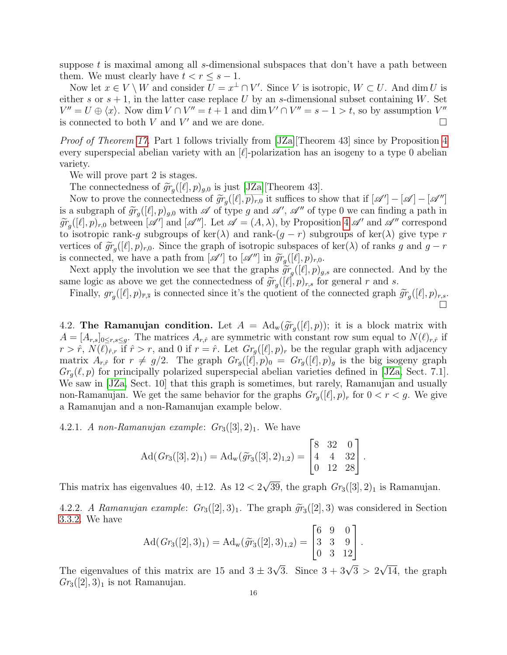suppose t is maximal among all s-dimensional subspaces that don't have a path between them. We must clearly have  $t < r \leq s - 1$ .

Now let  $x \in V \setminus W$  and consider  $U = x^{\perp} \cap V'$ . Since V is isotropic,  $W \subset U$ . And dim U is either s or  $s + 1$ , in the latter case replace U by an s-dimensional subset containing W. Set  $V'' = U \oplus \langle x \rangle$ . Now dim  $V \cap V'' = t + 1$  and dim  $V' \cap V'' = s - 1 > t$ , so by assumption  $V''$ is connected to both V and V' and we are done.

Proof of Theorem [17.](#page-14-3) Part 1 follows trivially from [\[JZa\]](#page-29-0)[Theorem [4](#page-4-3)3] since by Proposition 4 every superspecial abelian variety with an  $[\ell]$ -polarization has an isogeny to a type 0 abelian variety.

We will prove part 2 is stages.

The connectedness of  $\widetilde{gr}_g([\ell], p)_{g,0}$  is just [\[JZa\]](#page-29-0)[Theorem 43].<br>Now to prove the connectedness of  $\widetilde{gr}([\ell], n)$ , it suffices to s

Now to prove the connectedness of  $\widetilde{gr}_g([\ell], p)_{r,0}$  it suffices to show that if  $[\mathscr{A}'] - [\mathscr{A}] - [\mathscr{A}'']$ <br>a subgraph of  $\widetilde{gr}([\ell], p)$ , with  $\mathscr{A}$  of type a and  $\mathscr{A}'$ ,  $\mathscr{A}''$  of type 0 we can finding a path in is a subgraph of  $\widetilde{gr}_g([\ell], p)_{g,0}$  with  $\mathscr A$  of type g and  $\mathscr A', \mathscr A''$  of type 0 we can finding a path in<br> $\widetilde{gr}_g([\ell], p)$ , between  $[\mathscr A']$  and  $[\mathscr A'']$ . Let  $\mathscr A = (A, \Lambda)$  by Preposition 4  $\mathscr A'$  and  $\mathscr A''$  corresp  $\widetilde{gr}_g([\ell], p)_{r,0}$  between  $[\mathscr{A}']$  and  $[\mathscr{A}'']$ . Let  $\mathscr{A} = (A, \lambda)$ , by Proposition [4](#page-4-3)  $\mathscr{A}'$  and  $\mathscr{A}''$  correspond to isotropic rank-g subgroups of ker( $\lambda$ ) and rank-( $g - r$ ) subgroups of ker( $\lambda$ ) give type r vertices of  $\widetilde{gr}_g([\ell], p)_{r,0}$ . Since the graph of isotropic subspaces of ker( $\lambda$ ) of ranks g and  $g - r$ <br>is connected we have a path from  $[\mathscr{A}']$  to  $[\mathscr{A}']$  in  $\widetilde{gr}([\ell], p)$ . is connected, we have a path from  $[\mathscr{A}']$  to  $[\mathscr{A}'']$  in  $\widetilde{gr}_g([\ell], p)_{r,0}$ .<br>Nove apply the involution we see that the graphs  $\widetilde{gr}([\ell], p)$ 

Next apply the involution we see that the graphs  $\widetilde{gr}_g([\ell], p)_{g,s}$  are connected. And by the me logic as above we get the connectedness of  $\widetilde{gr}_g([\ell], p)$ , for general r and c same logic as above we get the connectedness of  $\widetilde{gr}_g([\ell], p)_{r,s}$  for general r and s.<br>Finally,  $gr([\ell], p)$  is connected since it's the quotient of the connected graph.

Finally,  $gr_g([\ell], p)_{\overline{r},\overline{s}}$  is connected since it's the quotient of the connected graph  $\widetilde{gr}_g([\ell], p)_{r,s}$ . Ó

<span id="page-15-0"></span>4.2. The Ramanujan condition. Let  $A = \text{Ad}_{w}(\widetilde{gr}_{g}([l], p));$  it is a block matrix with  $A = [A, 1]$ . The matrices  $A_{\ell}$  are symmetric with constant row sum coupl to  $N(\ell)$ , if  $A = [A_{r,s}]_{0 \le r,s \le g}$ . The matrices  $A_{r,\hat{r}}$  are symmetric with constant row sum equal to  $N(\ell)_{r,\hat{r}}$  if  $r > \hat{r}$ ,  $N(\ell)_{\hat{r},r}$  if  $\hat{r} > r$ , and 0 if  $r = \hat{r}$ . Let  $Gr_g([\ell], p)_r$  be the regular graph with adjacency matrix  $A_{r,\hat{r}}$  for  $r \neq g/2$ . The graph  $Gr_g([\ell], p)_0 = Gr_g([\ell], p)_g$  is the big isogeny graph  $Gr_q(\ell, p)$  for principally polarized superspecial abelian varieties defined in [\[JZa,](#page-29-0) Sect. 7.1]. We saw in [\[JZa,](#page-29-0) Sect. 10] that this graph is sometimes, but rarely, Ramanujan and usually non-Ramanujan. We get the same behavior for the graphs  $Gr_q([\ell], p)_r$  for  $0 < r < g$ . We give a Ramanujan and a non-Ramanujan example below.

<span id="page-15-1"></span>4.2.1. A non-Ramanujan example:  $Gr_3([3], 2)_1$ . We have

$$
Ad(Gr_3([3], 2)_1) = Ad_w(\widetilde{gr}_3([3], 2)_{1,2}) = \begin{bmatrix} 8 & 32 & 0 \\ 4 & 4 & 32 \\ 0 & 12 & 28 \end{bmatrix}.
$$

This matrix has eigenvalues 40,  $\pm 12$ . As  $12 < 2$ √ 39, the graph  $Gr_3([3], 2)_1$  is Ramanujan.

<span id="page-15-2"></span>4.2.2. A Ramanujan example:  $Gr_3([2], 3)_1$ . The graph  $\tilde{gr}_3([2], 3)$  was considered in Section 3.3.2. We have [3.3.2.](#page-10-2) We have

$$
Ad(G_{73}([2],3)_1) = Ad_w(\widetilde{gr}_3([2],3)_{1,2}) = \begin{bmatrix} 6 & 9 & 0 \\ 3 & 3 & 9 \\ 0 & 3 & 12 \end{bmatrix}.
$$

The eigenvalues of this matrix are 15 and  $3 \pm 3$  $\sqrt{3}$ . Since  $3 + 3\sqrt{3} > 2$ √ 14, the graph  $Gr_3([2], 3)_1$  is not Ramanujan.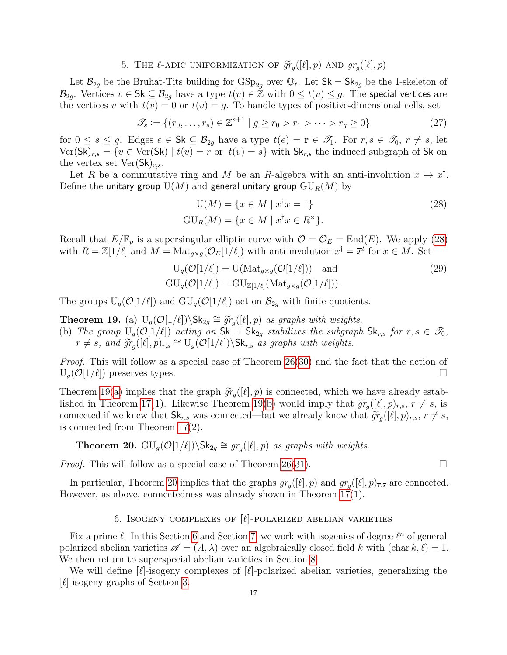# 5. THE  $\ell$ -adic uniformization of  $\widetilde{gr}_g([\ell], p)$  and  $gr_g([\ell], p)$

<span id="page-16-0"></span>Let  $\mathcal{B}_{2g}$  be the Bruhat-Tits building for  $GSp_{2g}$  over  $\mathbb{Q}_{\ell}$ . Let  $Sk = Sk_{2g}$  be the 1-skeleton of  $\mathcal{B}_{2g}$ . Vertices  $v \in \mathsf{Sk} \subseteq \mathcal{B}_{2g}$  have a type  $t(v) \in \mathbb{Z}$  with  $0 \leq t(v) \leq g$ . The special vertices are the vertices v with  $t(v) = 0$  or  $t(v) = g$ . To handle types of positive-dimensional cells, set

$$
\mathcal{T}_s := \{ (r_0, \dots, r_s) \in \mathbb{Z}^{s+1} \mid g \ge r_0 > r_1 > \dots > r_g \ge 0 \}
$$
 (27)

for  $0 \leq s \leq g$ . Edges  $e \in \mathsf{Sk} \subseteq \mathcal{B}_{2g}$  have a type  $t(e) = \mathbf{r} \in \mathcal{I}_1$ . For  $r, s \in \mathcal{I}_0, r \neq s$ , let  $Ver(Sk)_{r,s} = \{v \in Ver(Sk) \mid t(v) = r \text{ or } t(v) = s\}$  with  $Sk_{r,s}$  the induced subgraph of Sk on the vertex set  $\text{Ver}(\mathsf{Sk})_{r,s}$ .

Let R be a commutative ring and M be an R-algebra with an anti-involution  $x \mapsto x^{\dagger}$ . Define the unitary group  $U(M)$  and general unitary group  $GU_R(M)$  by

<span id="page-16-2"></span>
$$
U(M) = \{x \in M \mid x^{\dagger}x = 1\}
$$
  
\n
$$
GU_{R}(M) = \{x \in M \mid x^{\dagger}x \in R^{\times}\}.
$$
\n(28)

Recall that  $E/\overline{\mathbb{F}}_p$  is a supersingular elliptic curve with  $\mathcal{O} = \mathcal{O}_E = \text{End}(E)$ . We apply [\(28\)](#page-16-2) with  $R = \mathbb{Z}[1/\ell]$  and  $M = \text{Mat}_{g \times g}(\mathcal{O}_E[1/\ell])$  with anti-involution  $x^{\dagger} = \overline{x}^t$  for  $x \in M$ . Set

$$
U_g(\mathcal{O}[1/\ell]) = U(\text{Mat}_{g \times g}(\mathcal{O}[1/\ell])) \text{ and}
$$
  
\n
$$
GU_g(\mathcal{O}[1/\ell]) = GU_{\mathbb{Z}[1/\ell]}(\text{Mat}_{g \times g}(\mathcal{O}[1/\ell])).
$$
\n(29)

The groups  $U_g(\mathcal{O}[1/\ell])$  and  $GU_g(\mathcal{O}[1/\ell])$  act on  $\mathcal{B}_{2g}$  with finite quotients.

<span id="page-16-4"></span><span id="page-16-3"></span>**Theorem 19.** (a)  $U_g(\mathcal{O}[1/\ell])\backslash Sk_{2g} \cong \widetilde{gr}_g([\ell], p)$  as graphs with weights.<br>(b) The group  $U_g(\mathcal{O}[1/\ell])$  acting on  $Sk = Sk$  stabilizes the subgraph (b) The group  $U_q(\mathcal{O}[1/\ell])$  acting on  $\mathsf{Sk} = \mathsf{Sk}_{2q}$  stabilizes the subgraph  $\mathsf{Sk}_{r,s}$  for  $r, s \in \mathscr{T}_0$ ,  $r \neq s$ , and  $\widetilde{gr}_g([\ell], p)_{r,s} \cong U_g(O[1/\ell]) \backslash Sk_{r,s}$  as graphs with weights.

Proof. This will follow as a special case of Theorem [26](#page-22-1)[\(30\)](#page-22-2) and the fact that the action of  $U_q(\mathcal{O}[1/\ell])$  preserves types.

Theorem [19\(](#page-0-0)[a\)](#page-16-3) implies that the graph  $\widetilde{gr}_g([\ell], p)$  is connected, which we have already estab-<br>lished in Theorem 17(1). Likewise Theorem 19(b) would imply that  $\widetilde{gr}([\ell], p) = r \neq e$  is lished in Theorem [17\(](#page-14-3)1). Likewise Theorem [19\(](#page-0-0)[b\)](#page-16-4) would imply that  $\widetilde{gr}_g([\ell], p)_{r,s}$ ,  $r \neq s$ , is<br>connected if we know that  $\mathsf{Sk}$  was connected by we already know that  $\widetilde{gr}([\ell], p)$ ,  $r \neq s$ connected if we knew that  $\mathsf{Sk}_{r,s}$  was connected—but we already know that  $\widetilde{gr}_g([\ell], p)_{r,s}, r \neq s$ , is connected from Theorem 17(2) is connected from Theorem [17\(](#page-14-3)2).

<span id="page-16-5"></span>**Theorem 20.**  $GU_g(\mathcal{O}[1/\ell])\backslash Sk_{2g} \cong gr_g([\ell], p)$  as graphs with weights.

*Proof.* This will follow as a special case of Theorem [26](#page-22-1)[\(31\)](#page-22-3).  $\Box$ 

In particular, Theorem [20](#page-16-5) implies that the graphs  $gr_g([\ell], p)$  and  $gr_g([\ell], p)_{\overline{r}, \overline{s}}$  are connected. However, as above, connectedness was already shown in Theorem [17\(](#page-14-3)1).

## 6. ISOGENY COMPLEXES OF  $[\ell]$ -POLARIZED ABELIAN VARIETIES

<span id="page-16-1"></span>Fix a prime  $\ell$ . In this Section [6](#page-16-1) and Section [7,](#page-22-0) we work with isogenies of degree  $\ell^n$  of general polarized abelian varieties  $\mathscr{A} = (A, \lambda)$  over an algebraically closed field k with (char k,  $\ell$ ) = 1. We then return to superspecial abelian varieties in Section [8.](#page-23-0)

We will define  $[\ell]$ -isogeny complexes of  $[\ell]$ -polarized abelian varieties, generalizing the  $[\ell]$ -isogeny graphs of Section [3.](#page-8-0)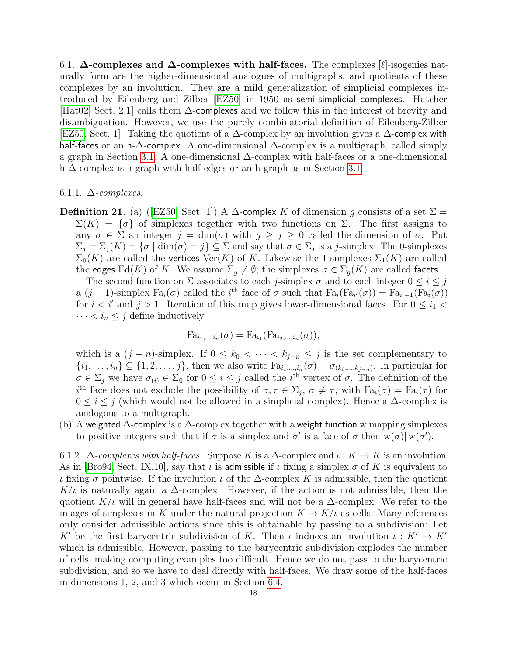<span id="page-17-0"></span>6.1.  $\Delta$ -complexes and  $\Delta$ -complexes with half-faces. The complexes [ $\ell$ ]-isogenies naturally form are the higher-dimensional analogues of multigraphs, and quotients of these complexes by an involution. They are a mild generalization of simplicial complexes introduced by Eilenberg and Zilber [\[EZ50\]](#page-28-2) in 1950 as semi-simplicial complexes. Hatcher [\[Hat02,](#page-28-3) Sect. 2.1] calls them ∆-complexes and we follow this in the interest of brevity and disambiguation. However, we use the purely combinatorial definition of Eilenberg-Zilber [\[EZ50,](#page-28-2) Sect. 1]. Taking the quotient of a ∆-complex by an involution gives a ∆-complex with half-faces or an h-∆-complex. A one-dimensional ∆-complex is a multigraph, called simply a graph in Section [3.1.](#page-8-1) A one-dimensional ∆-complex with half-faces or a one-dimensional h-∆-complex is a graph with half-edges or an h-graph as in Section [3.1.](#page-8-1)

## <span id="page-17-1"></span>6.1.1.  $\Delta$ -complexes.

**Definition 21.** (a) ([\[EZ50,](#page-28-2) Sect. 1]) A  $\Delta$ -complex K of dimension g consists of a set  $\Sigma$  =  $\Sigma(K) = \{\sigma\}$  of simplexes together with two functions on  $\Sigma$ . The first assigns to any  $\sigma \in \Sigma$  an integer  $j = \dim(\sigma)$  with  $g \geq j \geq 0$  called the dimension of  $\sigma$ . Put  $\Sigma_j = \Sigma_j(K) = \{ \sigma \mid \dim(\sigma) = j \} \subseteq \Sigma$  and say that  $\sigma \in \Sigma_j$  is a j-simplex. The 0-simplexes  $\Sigma_0(K)$  are called the vertices  $\text{Ver}(K)$  of K. Likewise the 1-simplexes  $\Sigma_1(K)$  are called the edges Ed(K) of K. We assume  $\Sigma_g \neq \emptyset$ ; the simplexes  $\sigma \in \Sigma_g(K)$  are called facets.

The second function on  $\Sigma$  associates to each j-simplex  $\sigma$  and to each integer  $0 \le i \le j$ a  $(j-1)$ -simplex  $Fa_i(\sigma)$  called the i<sup>th</sup> face of  $\sigma$  such that  $Fa_i(Fa_{i'}(\sigma)) = Fa_{i'-1}(Fa_i(\sigma))$ for  $i < i'$  and  $j > 1$ . Iteration of this map gives lower-dimensional faces. For  $0 \le i_1 <$  $\cdots < i_n \leq j$  define inductively

$$
Fa_{i_1,...,i_n}(\sigma) = Fa_{i_1}(Fa_{i_2,...,i_n}(\sigma)),
$$

which is a  $(j - n)$ -simplex. If  $0 \leq k_0 < \cdots < k_{j-n} \leq j$  is the set complementary to  $\{i_1,\ldots,i_n\}\subseteq\{1,2,\ldots,j\}$ , then we also write  $\text{Fa}_{i_1,\ldots,i_n}(\sigma)=\sigma_{(k_0,\ldots,k_{j-n})}$ . In particular for  $\sigma \in \Sigma_j$  we have  $\sigma_{(i)} \in \Sigma_0$  for  $0 \leq i \leq j$  called the i<sup>th</sup> vertex of  $\sigma$ . The definition of the i<sup>th</sup> face does not exclude the possibility of  $\sigma, \tau \in \Sigma_j$ ,  $\sigma \neq \tau$ , with  $Fa_i(\sigma) = Fa_i(\tau)$  for  $0 \leq i \leq j$  (which would not be allowed in a simplicial complex). Hence a  $\Delta$ -complex is analogous to a multigraph.

(b) A weighted  $\Delta$ -complex is a  $\Delta$ -complex together with a weight function w mapping simplexes to positive integers such that if  $\sigma$  is a simplex and  $\sigma'$  is a face of  $\sigma$  then  $w(\sigma)|w(\sigma')$ .

<span id="page-17-2"></span>6.1.2.  $\Delta$ -complexes with half-faces. Suppose K is a  $\Delta$ -complex and  $\iota: K \to K$  is an involution. As in [\[Bro94,](#page-28-4) Sect. IX.10], say that  $\iota$  is admissible if  $\iota$  fixing a simplex  $\sigma$  of K is equivalent to ι fixing σ pointwise. If the involution ι of the ∆-complex K is admissible, then the quotient  $K/\iota$  is naturally again a  $\Delta$ -complex. However, if the action is not admissible, then the quotient K/ $\iota$  will in general have half-faces and will not be a  $\Delta$ -complex. We refer to the images of simplexes in K under the natural projection  $K \to K/\iota$  as cells. Many references only consider admissible actions since this is obtainable by passing to a subdivision: Let K' be the first barycentric subdivision of K. Then  $\iota$  induces an involution  $\iota : K' \to K'$ which is admissible. However, passing to the barycentric subdivision explodes the number of cells, making computing examples too difficult. Hence we do not pass to the barycentric subdivision, and so we have to deal directly with half-faces. We draw some of the half-faces in dimensions 1, 2, and 3 which occur in Section [6.4.](#page-19-1)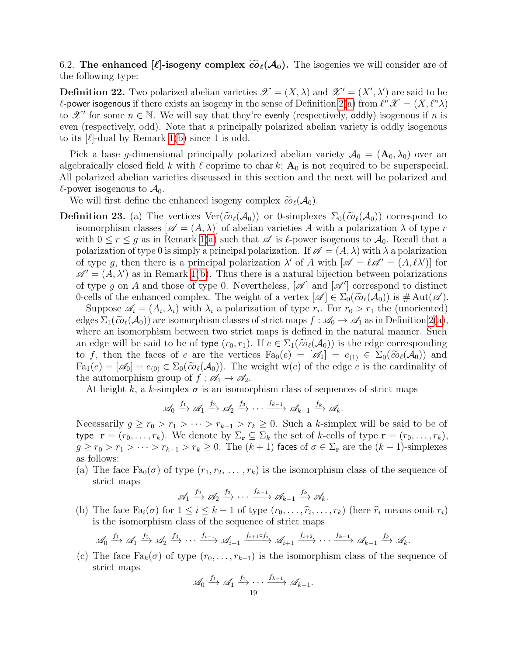<span id="page-18-0"></span>6.2. The enhanced  $[\ell]$ -isogeny complex  $\widetilde{\omega}_{\ell}(\mathcal{A}_0)$ . The isogenies we will consider are of the following type:

**Definition 22.** Two polarized abelian varieties  $\mathscr{X} = (X, \lambda)$  and  $\mathscr{X}' = (X', \lambda')$  are said to be  $\ell$ -power isogenous if there exists an isogeny in the sense of Definition [2\(](#page-4-0)[a\)](#page-4-1) from  $\ell^n\mathscr{X} = (X, \ell^n \lambda)$ to  $\mathscr{X}'$  for some  $n \in \mathbb{N}$ . We will say that they're evenly (respectively, oddly) isogenous if n is even (respectively, odd). Note that a principally polarized abelian variety is oddly isogenous to its  $[\ell]$ -dual by Remark [1\(](#page-3-2)[b\)](#page-3-5) since 1 is odd.

Pick a base g-dimensional principally polarized abelian variety  $A_0 = (A_0, \lambda_0)$  over an algebraically closed field k with  $\ell$  coprime to char k;  $A_0$  is not required to be superspecial. All polarized abelian varieties discussed in this section and the next will be polarized and  $\ell$ -power isogenous to  $\mathcal{A}_0$ .

We will first define the enhanced isogeny complex  $\tilde{co}_{\ell}(\mathcal{A}_0)$ .

<span id="page-18-1"></span>**Definition 23.** (a) The vertices  $\text{Ver}(\widetilde{\omega}_{\ell}(\mathcal{A}_0))$  or 0-simplexes  $\Sigma_0(\widetilde{\omega}_{\ell}(\mathcal{A}_0))$  correspond to isomorphism classes  $[\mathscr{A} = (A, \lambda)]$  of abelian varieties A with a polarization  $\lambda$  of type r with  $0 \le r \le g$  as in Remark [1](#page-3-2)[\(a\)](#page-3-6) such that  $\mathscr A$  is  $\ell$ -power isogenous to  $\mathcal A_0$ . Recall that a polarization of type 0 is simply a principal polarization. If  $\mathscr{A} = (A, \lambda)$  with  $\lambda$  a polarization of type g, then there is a principal polarization  $\lambda'$  of A with  $[\mathscr{A} = \ell \mathscr{A}' = (A, \ell \lambda')]$  for  $\mathscr{A}' = (A, \lambda')$  as in Remark [1](#page-3-2)[\(b\)](#page-3-5). Thus there is a natural bijection between polarizations of type g on A and those of type 0. Nevertheless,  $[\mathscr{A}]$  and  $[\mathscr{A}']$  correspond to distinct 0-cells of the enhanced complex. The weight of a vertex  $[\mathscr{A}] \in \Sigma_0(\widetilde{co}_{\ell}(\mathcal{A}_0))$  is  $\#\mathrm{Aut}(\mathscr{A})$ .

Suppose  $\mathscr{A}_i = (A_i, \lambda_i)$  with  $\lambda_i$  a polarization of type  $r_i$ . For  $r_0 > r_1$  the (unoriented) edges  $\Sigma_1(\tilde{co}_{\ell}(\mathcal{A}_0))$  are isomorphism classes of strict maps  $f : \mathscr{A}_0 \to \mathscr{A}_1$  as in Definition [2](#page-4-0)[\(a\)](#page-4-1), where an isomorphism between two strict maps is defined in the natural manner. Such an edge will be said to be of type  $(r_0, r_1)$ . If  $e \in \Sigma_1(\widetilde{\omega}_{\ell}(A_0))$  is the edge corresponding to f, then the faces of e are the vertices  $F_{a_0}(e) = [\mathscr{A}_1] = e_{(1)} \in \Sigma_0(\widetilde{co}_{\ell}(\mathcal{A}_0))$  and  $Fa_1(e) = [\mathscr{A}_0] = e_{(0)} \in \Sigma_0(\widetilde{co}_{\ell}(\mathcal{A}_0)).$  The weight w(e) of the edge e is the cardinality of the automorphism group of  $f : \mathcal{A}_1 \to \mathcal{A}_2$ .

At height k, a k-simplex  $\sigma$  is an isomorphism class of sequences of strict maps

$$
\mathscr{A}_0 \xrightarrow{f_1} \mathscr{A}_1 \xrightarrow{f_2} \mathscr{A}_2 \xrightarrow{f_3} \cdots \xrightarrow{f_{k-1}} \mathscr{A}_{k-1} \xrightarrow{f_k} \mathscr{A}_k.
$$

Necessarily  $g \ge r_0 > r_1 > \cdots > r_{k-1} > r_k \ge 0$ . Such a k-simplex will be said to be of type  $\mathbf{r} = (r_0, \ldots, r_k)$ . We denote by  $\Sigma_{\mathbf{r}} \subseteq \Sigma_k$  the set of k-cells of type  $\mathbf{r} = (r_0, \ldots, r_k)$ ,  $g \ge r_0 > r_1 > \cdots > r_{k-1} > r_k \ge 0$ . The  $(k+1)$  faces of  $\sigma \in \Sigma_r$  are the  $(k-1)$ -simplexes as follows:

(a) The face  $Fa_{0}(\sigma)$  of type  $(r_{1}, r_{2}, \ldots, r_{k})$  is the isomorphism class of the sequence of strict maps

$$
\mathscr{A}_1 \xrightarrow{f_2} \mathscr{A}_2 \xrightarrow{f_3} \cdots \xrightarrow{f_{k-1}} \mathscr{A}_{k-1} \xrightarrow{f_k} \mathscr{A}_k.
$$

(b) The face  $\text{Fa}_{i}(\sigma)$  for  $1 \leq i \leq k-1$  of type  $(r_0, \ldots, \hat{r}_i, \ldots, r_k)$  (here  $\hat{r}_i$  means omit  $r_i$ ) is the isomorphism class of the socurred of strict maps is the isomorphism class of the sequence of strict maps

$$
\mathscr{A}_0 \xrightarrow{f_1} \mathscr{A}_1 \xrightarrow{f_2} \mathscr{A}_2 \xrightarrow{f_3} \cdots \xrightarrow{f_{i-1}} \mathscr{A}_{i-1} \xrightarrow{f_{i+1} \circ f_i} \mathscr{A}_{i+1} \xrightarrow{f_{i+2}} \cdots \xrightarrow{f_{k-1}} \mathscr{A}_{k-1} \xrightarrow{f_k} \mathscr{A}_k.
$$

(c) The face  $Fa_k(\sigma)$  of type  $(r_0, \ldots, r_{k-1})$  is the isomorphism class of the sequence of strict maps

$$
\mathscr{A}_0 \xrightarrow{f_1} \mathscr{A}_1 \xrightarrow{f_2} \cdots \xrightarrow{f_{k-1}} \mathscr{A}_{k-1}.
$$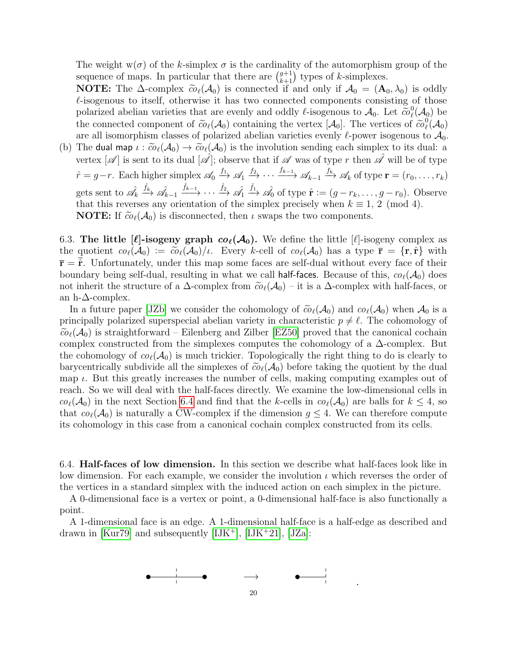The weight  $w(\sigma)$  of the k-simplex  $\sigma$  is the cardinality of the automorphism group of the sequence of maps. In particular that there are  $\binom{g+1}{k+1}$  types of k-simplexes.

**NOTE:** The  $\Delta$ -complex  $\widetilde{co}_{\ell}(\mathcal{A}_0)$  is connected if and only if  $\mathcal{A}_0 = (\mathbf{A}_0, \lambda_0)$  is oddly  $\ell$ -isogenous to itself, otherwise it has two connected components consisting of those polarized abelian varieties that are evenly and oddly  $\ell$ -isogenous to  $\mathcal{A}_0$ . Let  $\tilde{c}o_\ell^0$ <br>the connected component of  $\tilde{c}o(A)$  containing the vertex [A,]. The vertices of  $^0_\ell({\cal A}_0)$  be the connected component of  $\tilde{\omega}_{\ell}(\mathcal{A}_0)$  containing the vertex  $[\mathcal{A}_0]$ . The vertices of  $\tilde{\omega}_{\ell}^0$ <br>are all isomorphism classes of polarized abelian varieties evenly *l*-power isogenous to  $^0_\ell({\cal A}_0)$ are all isomorphism classes of polarized abelian varieties evenly  $\ell$ -power isogenous to  $\mathcal{A}_0$ .

(b) The dual map  $\iota : \tilde{co}_{\ell}(\mathcal{A}_0) \to \tilde{co}_{\ell}(\mathcal{A}_0)$  is the involution sending each simplex to its dual: a vertex  $[\mathscr{A}]$  is sent to its dual  $[\mathscr{\hat{A}}]$ ; observe that if  $\mathscr A$  was of type r then  $\mathscr{\hat{A}}$  will be of type  $\hat{r} = g-r$ . Each higher simplex  $\mathscr{A}_0 \xrightarrow{f_1} \mathscr{A}_1 \xrightarrow{f_2} \cdots \xrightarrow{f_{k-1}} \mathscr{A}_{k-1} \xrightarrow{f_k} \mathscr{A}_k$  of type  $\mathbf{r} = (r_0, \ldots, r_k)$ gets sent to  $\hat{\mathscr{A}}_k$  $\stackrel{\hat{f}_k}{\longrightarrow} \hat{\mathscr{A}}_{k-1}$  $\stackrel{\hat{f}_{k-1}}{\longrightarrow} \cdots \stackrel{\hat{f}_2}{\longrightarrow} \hat{\mathscr{A}_1}$  $\hat{f}_\rightarrow \hat{\mathscr{A}}_0$  of type  $\hat{\mathbf{r}} := (g - r_k, \dots, g - r_0)$ . Observe that this reverses any orientation of the simplex precisely when  $k \equiv 1, 2 \pmod{4}$ . **NOTE:** If  $\tilde{co}_{\ell}(\mathcal{A}_0)$  is disconnected, then  $\iota$  swaps the two components.

<span id="page-19-0"></span>6.3. The little  $[\ell]$ -isogeny graph  $co_{\ell}(\mathcal{A}_0)$ . We define the little  $[\ell]$ -isogeny complex as the quotient  $\omega_{\ell}(\mathcal{A}_0) := \tilde{\omega}_{\ell}(\mathcal{A}_0)/\iota$ . Every k-cell of  $\omega_{\ell}(\mathcal{A}_0)$  has a type  $\bar{\mathbf{r}} = {\mathbf{r}, \hat{\mathbf{r}}}$  with  $\bar{\mathbf{r}} = \hat{\mathbf{r}}$ . Unfortunately, under this map some faces are self-dual without every face of their boundary being self-dual, resulting in what we call half-faces. Because of this,  $co(\mathcal{A}_0)$  does not inherit the structure of a  $\Delta$ -complex from  $\tilde{co}_{\ell}(\mathcal{A}_0)$  – it is a  $\Delta$ -complex with half-faces, or an h- $\Delta$ -complex.

In a future paper [\[JZb\]](#page-29-1) we consider the cohomology of  $\tilde{co}_{\ell}(\mathcal{A}_0)$  and  $co_{\ell}(\mathcal{A}_0)$  when  $\mathcal{A}_0$  is a principally polarized superspecial abelian variety in characteristic  $p \neq \ell$ . The cohomology of  $\tilde{co}_{\ell}(\mathcal{A}_0)$  is straightforward – Eilenberg and Zilber [\[EZ50\]](#page-28-2) proved that the canonical cochain complex constructed from the simplexes computes the cohomology of a ∆-complex. But the cohomology of  $co(\mathcal{A}_0)$  is much trickier. Topologically the right thing to do is clearly to barycentrically subdivide all the simplexes of  $\tilde{co}_{\ell}(\mathcal{A}_0)$  before taking the quotient by the dual map  $\iota$ . But this greatly increases the number of cells, making computing examples out of reach. So we will deal with the half-faces directly. We examine the low-dimensional cells in  $co_{\ell}(\mathcal{A}_0)$  in the next Section [6.4](#page-19-1) and find that the k-cells in  $co_{\ell}(\mathcal{A}_0)$  are balls for  $k \leq 4$ , so that  $co_{\ell}(\mathcal{A}_0)$  is naturally a CW-complex if the dimension  $g \leq 4$ . We can therefore compute its cohomology in this case from a canonical cochain complex constructed from its cells.

<span id="page-19-1"></span>6.4. Half-faces of low dimension. In this section we describe what half-faces look like in low dimension. For each example, we consider the involution  $\iota$  which reverses the order of the vertices in a standard simplex with the induced action on each simplex in the picture.

A 0-dimensional face is a vertex or point, a 0-dimensional half-face is also functionally a point.

A 1-dimensional face is an edge. A 1-dimensional half-face is a half-edge as described and drawn in [\[Kur79\]](#page-29-5) and subsequently  $[IJK^+]$  $[IJK^+]$ ,  $[IJK^+21]$ ,  $[JZa]$ :

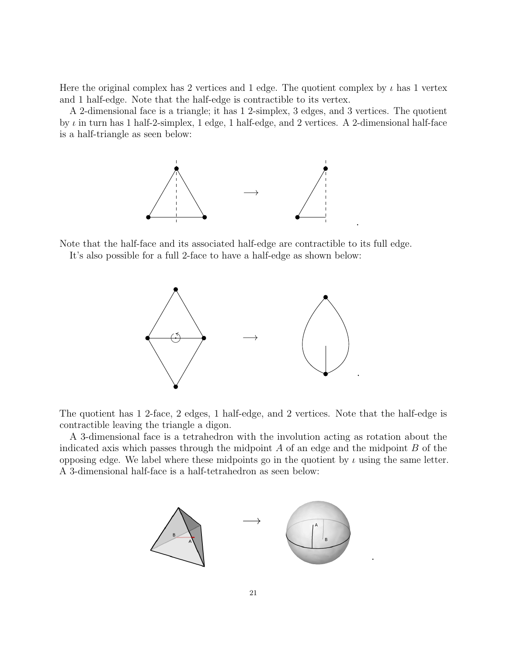Here the original complex has 2 vertices and 1 edge. The quotient complex by  $\iota$  has 1 vertex and 1 half-edge. Note that the half-edge is contractible to its vertex.

A 2-dimensional face is a triangle; it has 1 2-simplex, 3 edges, and 3 vertices. The quotient by  $\iota$  in turn has 1 half-2-simplex, 1 edge, 1 half-edge, and 2 vertices. A 2-dimensional half-face is a half-triangle as seen below:

.

.



Note that the half-face and its associated half-edge are contractible to its full edge.

It's also possible for a full 2-face to have a half-edge as shown below:



The quotient has 1 2-face, 2 edges, 1 half-edge, and 2 vertices. Note that the half-edge is contractible leaving the triangle a digon.

A 3-dimensional face is a tetrahedron with the involution acting as rotation about the indicated axis which passes through the midpoint  $A$  of an edge and the midpoint  $B$  of the opposing edge. We label where these midpoints go in the quotient by  $\iota$  using the same letter. A 3-dimensional half-face is a half-tetrahedron as seen below:

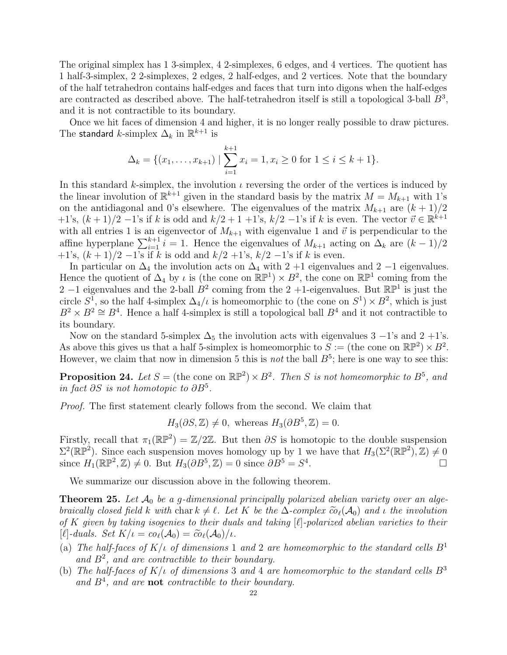The original simplex has 1 3-simplex, 4 2-simplexes, 6 edges, and 4 vertices. The quotient has 1 half-3-simplex, 2 2-simplexes, 2 edges, 2 half-edges, and 2 vertices. Note that the boundary of the half tetrahedron contains half-edges and faces that turn into digons when the half-edges are contracted as described above. The half-tetrahedron itself is still a topological 3-ball  $B^3$ , and it is not contractible to its boundary.

Once we hit faces of dimension 4 and higher, it is no longer really possible to draw pictures. The standard  $k$ -simplex  $\Delta_k$  in  $\mathbb{R}^{k+1}$  is

$$
\Delta_k = \{(x_1, \dots, x_{k+1}) \mid \sum_{i=1}^{k+1} x_i = 1, x_i \ge 0 \text{ for } 1 \le i \le k+1\}.
$$

In this standard k-simplex, the involution  $\iota$  reversing the order of the vertices is induced by the linear involution of  $\mathbb{R}^{k+1}$  given in the standard basis by the matrix  $M = M_{k+1}$  with 1's on the antidiagonal and 0's elsewhere. The eigenvalues of the matrix  $M_{k+1}$  are  $(k+1)/2$  $+1's$ ,  $(k+1)/2-1's$  if k is odd and  $k/2+1+1's$ ,  $k/2-1's$  if k is even. The vector  $\vec{v} \in \mathbb{R}^{k+1}$ with all entries 1 is an eigenvector of  $M_{k+1}$  with eigenvalue 1 and  $\vec{v}$  is perpendicular to the affine hyperplane  $\sum_{i=1}^{k+1} i = 1$ . Hence the eigenvalues of  $M_{k+1}$  acting on  $\Delta_k$  are  $(k-1)/2$ +1's,  $(k+1)/2$  -1's if k is odd and  $k/2$  +1's,  $k/2$  -1's if k is even.

In particular on  $\Delta_4$  the involution acts on  $\Delta_4$  with 2 +1 eigenvalues and 2 −1 eigenvalues. Hence the quotient of  $\Delta_4$  by  $\iota$  is (the cone on  $\mathbb{RP}^1$ )  $\times B^2$ , the cone on  $\mathbb{RP}^1$  coming from the 2 -1 eigenvalues and the 2-ball  $B^2$  coming from the 2 +1-eigenvalues. But  $\mathbb{RP}^1$  is just the circle  $S^1$ , so the half 4-simplex  $\Delta_4/\iota$  is homeomorphic to (the cone on  $S^1 \times B^2$ , which is just  $B^2 \times B^2 \cong B^4$ . Hence a half 4-simplex is still a topological ball  $B^4$  and it not contractible to its boundary.

Now on the standard 5-simplex  $\Delta_5$  the involution acts with eigenvalues 3 –1's and 2 +1's. As above this gives us that a half 5-simplex is homeomorphic to  $S := (\text{the cone on } \mathbb{RP}^2) \times B^2$ . However, we claim that now in dimension 5 this is *not* the ball  $B^5$ ; here is one way to see this:

**Proposition 24.** Let  $S =$  (the cone on  $\mathbb{RP}^2$ ) ×  $B^2$ . Then S is not homeomorphic to  $B^5$ , and in fact  $\partial S$  is not homotopic to  $\partial B^5$ .

Proof. The first statement clearly follows from the second. We claim that

 $H_3(\partial S, \mathbb{Z}) \neq 0$ , whereas  $H_3(\partial B^5, \mathbb{Z}) = 0$ .

Firstly, recall that  $\pi_1(\mathbb{RP}^2) = \mathbb{Z}/2\mathbb{Z}$ . But then  $\partial S$  is homotopic to the double suspension  $\Sigma^2(\mathbb{RP}^2)$ . Since each suspension moves homology up by 1 we have that  $H_3(\Sigma^2(\mathbb{RP}^2), \mathbb{Z}) \neq 0$ since  $H_1(\mathbb{RP}^2, \mathbb{Z}) \neq 0$ . But  $H_3(\partial B^5, \mathbb{Z}) = 0$  since  $\partial B^5 = S^4$ .

We summarize our discussion above in the following theorem.

**Theorem 25.** Let  $\mathcal{A}_0$  be a g-dimensional principally polarized abelian variety over an algebraically closed field k with char  $k \neq \ell$ . Let K be the  $\Delta$ -complex  $\tilde{c}o_{\ell}(\mathcal{A}_0)$  and  $\iota$  the involution of K given by taking isogenies to their duals and taking  $[\ell]$ -polarized abelian varieties to their  $[\ell]$ -duals. Set  $K/\iota = co_{\ell}(\mathcal{A}_0) = \widetilde{co}_{\ell}(\mathcal{A}_0)/\iota$ .

- (a) The half-faces of  $K/\iota$  of dimensions 1 and 2 are homeomorphic to the standard cells  $B^1$ and  $B^2$ , and are contractible to their boundary.
- (b) The half-faces of  $K/\nu$  of dimensions 3 and 4 are homeomorphic to the standard cells  $B^3$ and  $B<sup>4</sup>$ , and are **not** contractible to their boundary.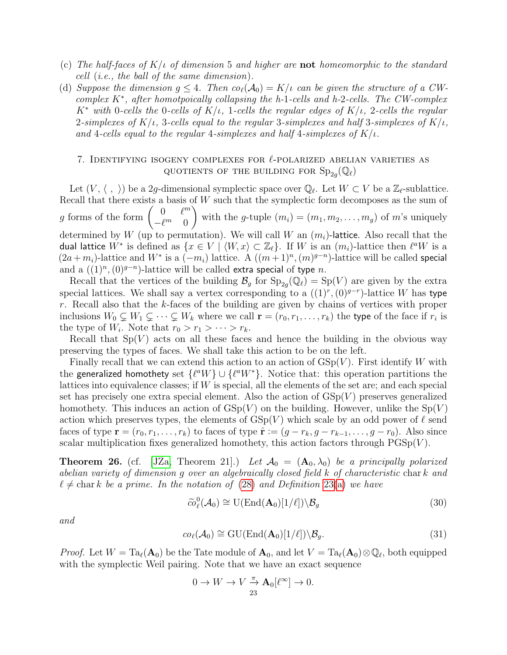- (c) The half-faces of  $K/\iota$  of dimension 5 and higher are **not** homeomorphic to the standard cell (i.e., the ball of the same dimension).
- (d) Suppose the dimension  $g \leq 4$ . Then  $co_{\ell}(\mathcal{A}_0) = K/\iota$  can be given the structure of a CWcomplex  $K^*$ , after homotpoically collapsing the h-1-cells and h-2-cells. The CW-complex  $K^*$  with 0-cells the 0-cells of  $K/\iota$ , 1-cells the regular edges of  $K/\iota$ , 2-cells the regular 2-simplexes of  $K/t$ , 3-cells equal to the regular 3-simplexes and half 3-simplexes of  $K/t$ , and 4-cells equal to the regular 4-simplexes and half 4-simplexes of  $K/t$ .

## <span id="page-22-0"></span>7. IDENTIFYING ISOGENY COMPLEXES FOR  $\ell$ -POLARIZED ABELIAN VARIETIES AS QUOTIENTS OF THE BUILDING FOR  $\text{Sp}_{2g}(\mathbb{Q}_\ell)$

Let  $(V, \langle , \rangle)$  be a 2g-dimensional symplectic space over  $\mathbb{Q}_{\ell}$ . Let  $W \subset V$  be a  $\mathbb{Z}_{\ell}$ -sublattice. Recall that there exists a basis of  $W$  such that the symplectic form decomposes as the sum of g forms of the form  $\begin{pmatrix} 0 & \ell^m \\ \ell^m & 0 \end{pmatrix}$  $-\ell^m$  0  $\setminus$ with the g-tuple  $(m_i) = (m_1, m_2, \ldots, m_g)$  of m's uniquely determined by W (up to permutation). We will call W an  $(m_i)$ -lattice. Also recall that the dual lattice  $W^*$  is defined as  $\{x\in V\mid \langle W,x\rangle\subset \mathbb{Z}_\ell\}.$  If  $W$  is an  $(m_i)$ -lattice then  $\ell^a W$  is a  $(2a + m_i)$ -lattice and  $W^*$  is a  $(-m_i)$  lattice. A  $((m+1)^n, (m)^{g-n})$ -lattice will be called special and a  $((1)^n, (0)^{g-n})$ -lattice will be called extra special of type *n*.

Recall that the vertices of the building  $\mathcal{B}_g$  for  $\text{Sp}_{2g}(\mathbb{Q}_\ell) = \text{Sp}(V)$  are given by the extra special lattices. We shall say a vertex corresponding to a  $((1)^r, (0)^{g-r})$ -lattice W has type r. Recall also that the k-faces of the building are given by chains of vertices with proper inclusions  $W_0 \subsetneq W_1 \subsetneq \cdots \subsetneq W_k$  where we call  $\mathbf{r} = (r_0, r_1, \ldots, r_k)$  the type of the face if  $r_i$  is the type of  $W_i$ . Note that  $r_0 > r_1 > \cdots > r_k$ .

Recall that  $Sp(V)$  acts on all these faces and hence the building in the obvious way preserving the types of faces. We shall take this action to be on the left.

Finally recall that we can extend this action to an action of  $GSp(V)$ . First identify W with the generalized homothety set  $\{ \ell^a W \} \cup \{ \ell^a W^* \}.$  Notice that: this operation partitions the lattices into equivalence classes; if W is special, all the elements of the set are; and each special set has precisely one extra special element. Also the action of  $GSp(V)$  preserves generalized homothety. This induces an action of  $GSp(V)$  on the building. However, unlike the  $Sp(V)$ action which preserves types, the elements of  $GSp(V)$  which scale by an odd power of  $\ell$  send faces of type  $\mathbf{r} = (r_0, r_1, \ldots, r_k)$  to faces of type  $\hat{\mathbf{r}} := (g - r_k, g - r_{k-1}, \ldots, g - r_0)$ . Also since scalar multiplication fixes generalized homothety, this action factors through  $PGSp(V)$ .

<span id="page-22-1"></span>**Theorem 26.** (cf. [\[JZa,](#page-29-0) Theorem 21].) Let  $\mathcal{A}_0 = (\mathbf{A}_0, \lambda_0)$  be a principally polarized abelian variety of dimension g over an algebraically closed field k of characteristic char k and  $\ell \neq \text{char } k$  be a prime. In the notation of [\(28\)](#page-16-2) and Definition [23\(](#page-0-0)[a\)](#page-18-1) we have

<span id="page-22-2"></span>
$$
\widetilde{co}_{\ell}^{0}(\mathcal{A}_{0}) \cong \mathrm{U}(\mathrm{End}(\mathbf{A}_{0})[1/\ell]) \backslash \mathcal{B}_{g}
$$
\n(30)

and

<span id="page-22-3"></span>
$$
co_{\ell}(\mathcal{A}_0) \cong \mathrm{GU}(\mathrm{End}(\mathbf{A}_0)[1/\ell]) \backslash \mathcal{B}_g. \tag{31}
$$

*Proof.* Let  $W = Ta_{\ell}(\mathbf{A}_0)$  be the Tate module of  $\mathbf{A}_0$ , and let  $V = Ta_{\ell}(\mathbf{A}_0) \otimes \mathbb{Q}_{\ell}$ , both equipped with the symplectic Weil pairing. Note that we have an exact sequence

$$
0 \to W \to V \overset{\pi}{\to} \mathbf{A}_0[\ell^{\infty}] \to 0.
$$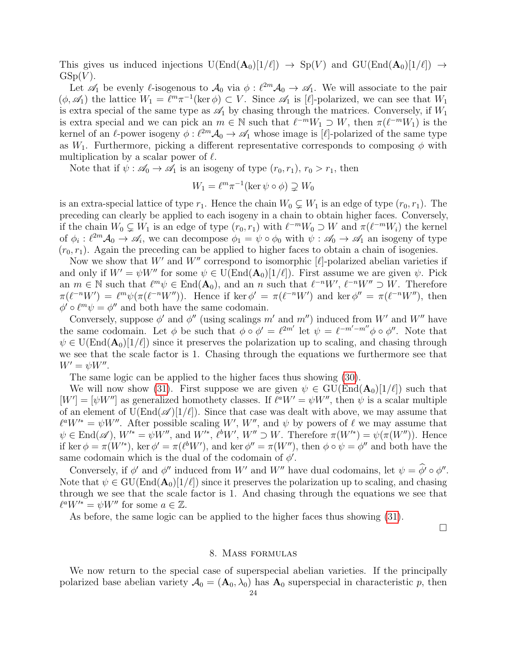This gives us induced injections  $U(End(A_0)[1/\ell]) \rightarrow Sp(V)$  and  $GU(End(A_0)[1/\ell]) \rightarrow$  $GSp(V)$ .

Let  $\mathscr{A}_1$  be evenly  $\ell$ -isogenous to  $\mathscr{A}_0$  via  $\phi : \ell^{2m}\mathscr{A}_0 \to \mathscr{A}_1$ . We will associate to the pair  $(\phi, \mathscr{A}_1)$  the lattice  $W_1 = \ell^m \pi^{-1}(\ker \phi) \subset V$ . Since  $\mathscr{A}_1$  is [ $\ell$ ]-polarized, we can see that  $W_1$ is extra special of the same type as  $\mathscr{A}_1$  by chasing through the matrices. Conversely, if  $W_1$ is extra special and we can pick an  $m \in \mathbb{N}$  such that  $\ell^{-m}W_1 \supset W$ , then  $\pi(\ell^{-m}W_1)$  is the kernel of an  $\ell$ -power isogeny  $\phi : \ell^{2m}\mathcal{A}_0 \to \mathcal{A}_1$  whose image is  $[\ell]$ -polarized of the same type as  $W_1$ . Furthermore, picking a different representative corresponds to composing  $\phi$  with multiplication by a scalar power of  $\ell$ .

Note that if  $\psi : \mathscr{A}_0 \to \mathscr{A}_1$  is an isogeny of type  $(r_0, r_1), r_0 > r_1$ , then

$$
W_1 = \ell^m \pi^{-1}(\ker \psi \circ \phi) \supsetneq W_0
$$

is an extra-special lattice of type  $r_1$ . Hence the chain  $W_0 \subsetneq W_1$  is an edge of type  $(r_0, r_1)$ . The preceding can clearly be applied to each isogeny in a chain to obtain higher faces. Conversely, if the chain  $W_0 \subsetneq W_1$  is an edge of type  $(r_0, r_1)$  with  $\ell^{-m}W_0 \supset W$  and  $\pi(\ell^{-m}W_i)$  the kernel of  $\phi_i: \ell^{2m}\mathcal{A}_0 \to \mathcal{A}_i$ , we can decompose  $\phi_1 = \psi \circ \phi_0$  with  $\psi: \mathcal{A}_0 \to \mathcal{A}_1$  an isogeny of type  $(r_0, r_1)$ . Again the preceding can be applied to higher faces to obtain a chain of isogenies.

Now we show that  $W'$  and  $W''$  correspond to isomorphic [ $\ell$ ]-polarized abelian varieties if and only if  $W' = \psi W''$  for some  $\psi \in U(\text{End}(\mathbf{A}_0)[1/\ell])$ . First assume we are given  $\psi$ . Pick an  $m \in \mathbb{N}$  such that  $\ell^m \psi \in \text{End}(\mathbf{A}_0)$ , and an n such that  $\ell^{-n}W'$ ,  $\ell^{-n}W'' \supset W$ . Therefore  $\pi(\ell^{-n}W') = \ell^m \psi(\pi(\ell^{-n}W''))$ . Hence if ker  $\phi' = \pi(\ell^{-n}W')$  and ker  $\phi'' = \pi(\ell^{-n}W'')$ , then  $\phi' \circ \ell^m \psi = \phi''$  and both have the same codomain.

Conversely, suppose  $\phi'$  and  $\phi''$  (using scalings m' and m'') induced from W' and W'' have the same codomain. Let  $\phi$  be such that  $\phi \circ \phi' = \ell^{2m'}$  let  $\psi = \ell^{-m'-m''} \phi \circ \phi''$ . Note that  $\psi \in U(\text{End}(\mathbf{A}_0)[1/\ell])$  since it preserves the polarization up to scaling, and chasing through we see that the scale factor is 1. Chasing through the equations we furthermore see that  $W' = \psi W''$ .

The same logic can be applied to the higher faces thus showing [\(30\)](#page-22-2).

We will now show [\(31\)](#page-22-3). First suppose we are given  $\psi \in \text{GU}(\text{End}(\mathbf{A}_0)[1/\ell])$  such that  $[W'] = [\psi W'']$  as generalized homothety classes. If  $\ell^a W' = \psi W''$ , then  $\psi$  is a scalar multiple of an element of  $U(End(\mathscr{A})[1/\ell])$ . Since that case was dealt with above, we may assume that  $\ell^a W^{\prime\ast} = \psi W^{\prime\prime}$ . After possible scaling W', W'', and  $\psi$  by powers of  $\ell$  we may assume that  $\psi \in \text{End}(\mathscr{A}), W^* = \psi W'', \text{ and } W'^*, \ell^b W', W'' \supset W.$  Therefore  $\pi(W'^*) = \psi(\pi(W''))$ . Hence if ker  $\phi = \pi(W'^*)$ , ker  $\phi' = \pi(\ell^b W')$ , and ker  $\phi'' = \pi(W'')$ , then  $\phi \circ \psi = \phi''$  and both have the same codomain which is the dual of the codomain of  $\phi'$ .

Conversely, if  $\phi'$  and  $\phi''$  induced from W' and W'' have dual codomains, let  $\psi = \phi' \circ \phi''$ . Note that  $\psi \in \mathrm{GU}(\mathrm{End}(\mathbf{A}_0)[1/\ell])$  since it preserves the polarization up to scaling, and chasing through we see that the scale factor is 1. And chasing through the equations we see that  $\ell^a W^{\prime *} = \psi W^{\prime\prime}$  for some  $a \in \mathbb{Z}$ .

As before, the same logic can be applied to the higher faces thus showing [\(31\)](#page-22-3).

 $\Box$ 

## 8. Mass formulas

<span id="page-23-0"></span>We now return to the special case of superspecial abelian varieties. If the principally polarized base abelian variety  $A_0 = (A_0, \lambda_0)$  has  $A_0$  superspecial in characteristic p, then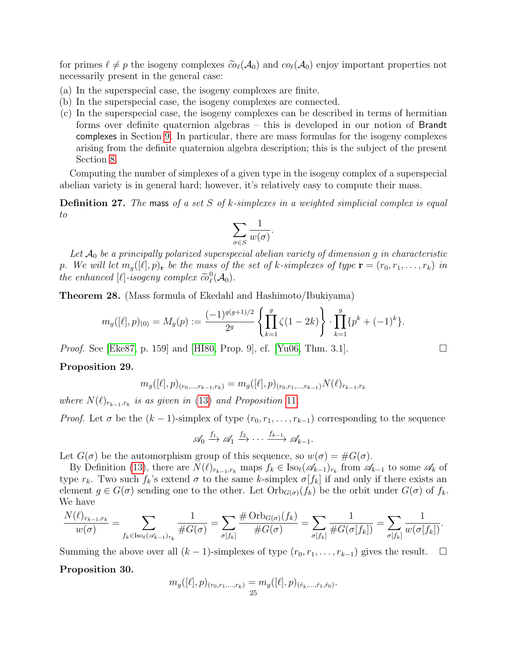for primes  $\ell \neq p$  the isogeny complexes  $\tilde{co}_{\ell}(\mathcal{A}_0)$  and  $co_{\ell}(\mathcal{A}_0)$  enjoy important properties not necessarily present in the general case:

- (a) In the superspecial case, the isogeny complexes are finite.
- (b) In the superspecial case, the isogeny complexes are connected.
- (c) In the superspecial case, the isogeny complexes can be described in terms of hermitian forms over definite quaternion algebras – this is developed in our notion of Brandt complexes in Section [9.](#page-25-0) In particular, there are mass formulas for the isogeny complexes arising from the definite quaternion algebra description; this is the subject of the present Section [8.](#page-23-0)

Computing the number of simplexes of a given type in the isogeny complex of a superspecial abelian variety is in general hard; however, it's relatively easy to compute their mass.

**Definition 27.** The mass of a set S of k-simplexes in a weighted simplicial complex is equal to

$$
\sum_{\sigma\in S}\frac{1}{w(\sigma)}.
$$

Let  $\mathcal{A}_0$  be a principally polarized superspecial abelian variety of dimension g in characteristic p. We will let  $m_q([\ell], p)_r$  be the mass of the set of k-simplexes of type  $\mathbf{r} = (r_0, r_1, \ldots, r_k)$  in the enhanced  $[\ell]$ -isogeny complex  $\widetilde{co}_{\ell}^0$  $_{\ell}^{0}(\mathcal{A}_{0}).$ 

<span id="page-24-2"></span>Theorem 28. (Mass formula of Ekedahl and Hashimoto/Ibukiyama)

$$
m_g([\ell], p)_{(0)} = M_g(p) := \frac{(-1)^{g(g+1)/2}}{2^g} \left\{ \prod_{k=1}^g \zeta(1-2k) \right\} \cdot \prod_{k=1}^g \{p^k + (-1)^k\}.
$$

*Proof.* See [\[Eke87,](#page-28-5) p. 159] and [\[HI80,](#page-29-8) Prop. 9], cf. [\[Yu06,](#page-29-9) Thm. 3.1].

## <span id="page-24-0"></span>Proposition 29.

$$
m_g([\ell], p)_{(r_0, \ldots, r_{k-1}, r_k)} = m_g([\ell], p)_{(r_0, r_1, \ldots, r_{k-1})} N(\ell)_{r_{k-1}, r_k}
$$

where  $N(\ell)_{r_{k-1},r_k}$  is as given in [\(13\)](#page-7-5) and Proposition [11](#page-7-3).

*Proof.* Let  $\sigma$  be the  $(k-1)$ -simplex of type  $(r_0, r_1, \ldots, r_{k-1})$  corresponding to the sequence

$$
\mathscr{A}_0 \xrightarrow{f_1} \mathscr{A}_1 \xrightarrow{f_2} \cdots \xrightarrow{f_{k-1}} \mathscr{A}_{k-1}.
$$

Let  $G(\sigma)$  be the automorphism group of this sequence, so  $w(\sigma) = \#G(\sigma)$ .

By Definition [\(13\)](#page-7-5), there are  $N(\ell)_{r_{k-1},r_k}$  maps  $f_k \in \text{Iso}_{\ell}(\mathscr{A}_{k-1})_{r_k}$  from  $\mathscr{A}_{k-1}$  to some  $\mathscr{A}_k$  of type  $r_k$ . Two such  $f_k$ 's extend  $\sigma$  to the same k-simplex  $\sigma[f_k]$  if and only if there exists an element  $g \in G(\sigma)$  sending one to the other. Let  $Orb_{G(\sigma)}(f_k)$  be the orbit under  $G(\sigma)$  of  $f_k$ . We have

$$
\frac{N(\ell)_{r_{k-1},r_k}}{w(\sigma)} = \sum_{f_k \in \text{Iso}_{\ell}(\mathscr{A}_{k-1})_{r_k}} \frac{1}{\#G(\sigma)} = \sum_{\sigma[f_k]} \frac{\# \text{Orb}_{G(\sigma)}(f_k)}{\#G(\sigma)} = \sum_{\sigma[f_k]} \frac{1}{\#G(\sigma[f_k])} = \sum_{\sigma[f_k]} \frac{1}{w(\sigma[f_k])}.
$$

Summing the above over all  $(k-1)$ -simplexes of type  $(r_0, r_1, \ldots, r_{k-1})$  gives the result.  $\Box$ 

## <span id="page-24-1"></span>Proposition 30.

$$
m_g([\ell], p)_{(r_0, r_1, \dots, r_k)} = m_g([\ell], p)_{(\hat{r}_k, \dots, \hat{r}_1, \hat{r}_0)}.
$$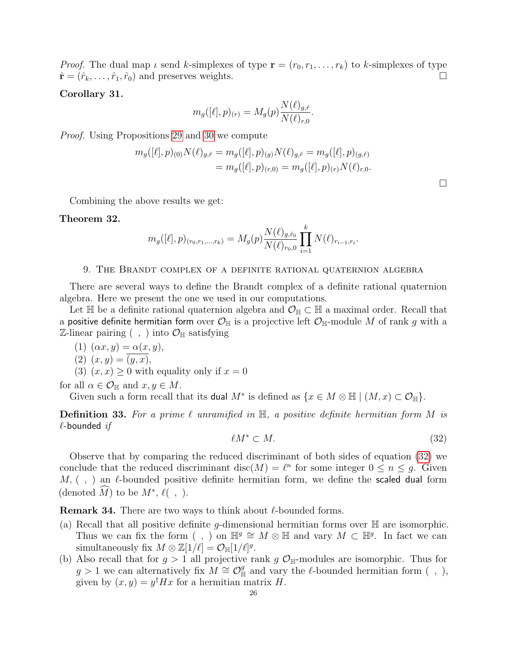*Proof.* The dual map  $\iota$  send k-simplexes of type  $\mathbf{r} = (r_0, r_1, \ldots, r_k)$  to k-simplexes of type  $\hat{\mathbf{r}} = (\hat{r}_k, \dots, \hat{r}_1, \hat{r}_0)$  and preserves weights.

## Corollary 31.

$$
m_g([\ell], p)_{(r)} = M_g(p) \frac{N(\ell)_{g,\hat{r}}}{N(\ell)_{r,0}}.
$$

Proof. Using Propositions [29](#page-24-0) and [30](#page-24-1) we compute

$$
m_g([\ell], p)_{(0)} N(\ell)_{g,\hat{r}} = m_g([\ell], p)_{(g)} N(\ell)_{g,\hat{r}} = m_g([\ell], p)_{(g,\hat{r})}
$$
  
= 
$$
m_g([\ell], p)_{(r,0)} = m_g([\ell], p)_{(r)} N(\ell)_{r,0}.
$$

Combining the above results we get:

## <span id="page-25-4"></span>Theorem 32.

$$
m_g([\ell], p)_{(r_0, r_1, \dots, r_k)} = M_g(p) \frac{N(\ell)_{g, \hat{r}_0}}{N(\ell)_{r_0, 0}} \prod_{i=1}^k N(\ell)_{r_{i-1}, r_i}.
$$

## 9. The Brandt complex of a definite rational quaternion algebra

<span id="page-25-0"></span>There are several ways to define the Brandt complex of a definite rational quaternion algebra. Here we present the one we used in our computations.

Let H be a definite rational quaternion algebra and  $\mathcal{O}_{\mathbb{H}} \subset \mathbb{H}$  a maximal order. Recall that a positive definite hermitian form over  $\mathcal{O}_{\mathbb{H}}$  is a projective left  $\mathcal{O}_{\mathbb{H}}$ -module M of rank g with a  $\mathbb{Z}\text{-linear pairing}$  (, ) into  $\mathcal{O}_{\mathbb{H}}$  satisfying

$$
(1) \ (\alpha x, y) = \alpha(x, y),
$$

$$
(2) (x, y) = (y, x),
$$

(3) 
$$
(x, x) \ge 0
$$
 with equality only if  $x = 0$ 

for all  $\alpha \in \mathcal{O}_{\mathbb{H}}$  and  $x, y \in M$ .

Given such a form recall that its dual  $M^*$  is defined as  $\{x \in M \otimes \mathbb{H} \mid (M, x) \subset \mathcal{O}_{\mathbb{H}}\}.$ 

**Definition 33.** For a prime  $\ell$  unramified in  $\mathbb{H}$ , a positive definite hermitian form M is  $\ell$ -bounded if

<span id="page-25-1"></span>
$$
\ell M^* \subset M. \tag{32}
$$

Observe that by comparing the reduced discriminant of both sides of equation [\(32\)](#page-25-1) we conclude that the reduced discriminant disc( $M$ ) =  $\ell^n$  for some integer  $0 \leq n \leq g$ . Given  $M, ( , )$  an  $\ell$ -bounded positive definite hermitian form, we define the scaled dual form (denoted  $\widehat{M}$ ) to be  $M^*, \ell( , )$ .

<span id="page-25-2"></span>**Remark 34.** There are two ways to think about  $\ell$ -bounded forms.

- <span id="page-25-3"></span>(a) Recall that all positive definite g-dimensional hermitian forms over  $\mathbb H$  are isomorphic. Thus we can fix the form (, ) on  $\mathbb{H}^g \cong M \otimes \mathbb{H}$  and vary  $M \subset \mathbb{H}^g$ . In fact we can simultaneously fix  $M \otimes \mathbb{Z}[1/\ell] = \mathcal{O}_{\mathbb{H}}[1/\ell]^g$ .
- (b) Also recall that for  $g > 1$  all projective rank g  $\mathcal{O}_{\mathbb{H}}$ -modules are isomorphic. Thus for g > 1 we can alternatively fix  $M \cong \mathcal{O}_{\mathbb{H}}^g$  and vary the  $\ell$ -bounded hermitian form (,), given by  $(x, y) = y^{\dagger} H x$  for a hermitian matrix H.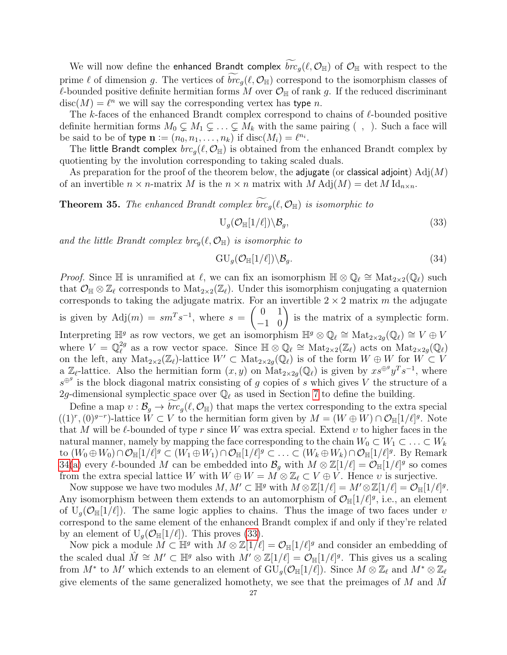We will now define the enhanced Brandt complex  $\overline{bc}_g(\ell, \mathcal{O}_{\mathbb{H}})$  of  $\mathcal{O}_{\mathbb{H}}$  with respect to the prime  $\ell$  of dimension g. The vertices of  $\overline{bc}_q(\ell, \mathcal{O}_{\mathbb{H}})$  correspond to the isomorphism classes of  $\ell$ -bounded positive definite hermitian forms M over  $\mathcal{O}_{\mathbb{H}}$  of rank g. If the reduced discriminant  $disc(M) = \ell^n$  we will say the corresponding vertex has type n.

The k-faces of the enhanced Brandt complex correspond to chains of  $\ell$ -bounded positive definite hermitian forms  $M_0 \subsetneq M_1 \subsetneq \ldots \subsetneq M_k$  with the same pairing  $( , )$ . Such a face will be said to be of type  $\mathbf{n} := (n_0, n_1, \dots, n_k)$  if  $\text{disc}(M_i) = \ell^{n_i}$ .

The little Brandt complex  $\mathit{brc}_{q}(\ell, \mathcal{O}_{\mathbb{H}})$  is obtained from the enhanced Brandt complex by quotienting by the involution corresponding to taking scaled duals.

As preparation for the proof of the theorem below, the adjugate (or classical adjoint)  $\text{Adj}(M)$ of an invertible  $n \times n$ -matrix M is the  $n \times n$  matrix with  $M \text{Adj}(M) = \det M \text{Id}_{n \times n}$ .

<span id="page-26-2"></span>**Theorem 35.** The enhanced Brandt complex  $\widetilde{brc}_q(\ell, \mathcal{O}_{\mathbb{H}})$  is isomorphic to

<span id="page-26-0"></span>
$$
U_g(\mathcal{O}_{\mathbb{H}}[1/\ell])\backslash \mathcal{B}_g, \tag{33}
$$

and the little Brandt complex  $\mathit{brc}_q(\ell, \mathcal{O}_{\mathbb{H}})$  is isomorphic to

<span id="page-26-1"></span>
$$
GU_g(\mathcal{O}_{\mathbb{H}}[1/\ell])\backslash \mathcal{B}_g. \tag{34}
$$

*Proof.* Since  $\mathbb H$  is unramified at  $\ell$ , we can fix an isomorphism  $\mathbb H \otimes \mathbb Q_\ell \cong \text{Mat}_{2\times 2}(\mathbb Q_\ell)$  such that  $\mathcal{O}_{\mathbb{H}} \otimes \mathbb{Z}_\ell$  corresponds to  $\text{Mat}_{2\times 2}(\mathbb{Z}_\ell)$ . Under this isomorphism conjugating a quaternion corresponds to taking the adjugate matrix. For an invertible  $2 \times 2$  matrix m the adjugate is given by  $\text{Adj}(m) = sm^T s^{-1}$ , where  $s =$  $\begin{pmatrix} 0 & 1 \\ -1 & 0 \end{pmatrix}$  is the matrix of a symplectic form. Interpreting  $\mathbb{H}^g$  as row vectors, we get an isomorphism  $\mathbb{H}^g \otimes \mathbb{Q}_\ell \cong \text{Mat}_{2 \times 2g}(\mathbb{Q}_\ell) \cong V \oplus V$ where  $V = \mathbb{Q}_{\ell}^{2g}$ <sup>2g</sup> as a row vector space. Since  $\mathbb{H} \otimes \mathbb{Q}_\ell \cong \text{Mat}_{2\times 2}(\mathbb{Z}_\ell)$  acts on  $\text{Mat}_{2\times 2g}(\mathbb{Q}_\ell)$ on the left, any  $\text{Mat}_{2\times 2}(\mathbb{Z}_\ell)$ -lattice  $W'\subset \text{Mat}_{2\times 2g}(\mathbb{Q}_\ell)$  is of the form  $W\oplus W$  for  $W\subset V$ a  $\mathbb{Z}_{\ell}$ -lattice. Also the hermitian form  $(x, y)$  on  $\text{Mat}_{2 \times 2g}(\mathbb{Q}_{\ell})$  is given by  $xs^{\oplus^g}y^Ts^{-1}$ , where  $s^{\oplus g}$  is the block diagonal matrix consisting of g copies of s which gives V the structure of a 2g-dimensional symplectic space over  $\mathbb{Q}_\ell$  as used in Section [7](#page-22-0) to define the building.

Define a map  $v : \mathcal{B}_g \to brc_g(\ell, \mathcal{O}_{\mathbb{H}})$  that maps the vertex corresponding to the extra special  $((1)^r, (0)^{g-r})$ -lattice  $\tilde{W} \subset V$  to the hermitian form given by  $M = (W \oplus W) \cap \mathcal{O}_{\mathbb{H}}[1/\ell]^{g}$ . Note that M will be  $\ell$ -bounded of type r since W was extra special. Extend v to higher faces in the natural manner, namely by mapping the face corresponding to the chain  $W_0 \subset W_1 \subset \ldots \subset W_k$ to  $(W_0 \oplus W_0) \cap \mathcal{O}_{\mathbb{H}}[1/\ell]^g \subset (W_1 \oplus W_1) \cap \mathcal{O}_{\mathbb{H}}[1/\ell]^g \subset \ldots \subset (W_k \oplus W_k) \cap \mathcal{O}_{\mathbb{H}}[1/\ell]^g$ . By Remark [34\(](#page-25-2)[a\)](#page-25-3) every  $\ell$ -bounded M can be embedded into  $\mathcal{B}_g$  with  $M \otimes \mathbb{Z}[1/\ell] = \mathcal{O}_{\mathbb{H}}[1/\ell]^g$  so comes from the extra special lattice W with  $W \oplus W = M \otimes \mathbb{Z}_\ell \subset V \oplus V$ . Hence v is surjective.

Now suppose we have two modules  $M, M' \subset \mathbb{H}^g$  with  $M \otimes \mathbb{Z}[1/\ell] = M' \otimes \mathbb{Z}[1/\ell] = \mathcal{O}_{\mathbb{H}}[1/\ell]^g$ . Any isomorphism between them extends to an automorphism of  $\mathcal{O}_{\mathbb{H}}[1/\ell]^g$ , i.e., an element of  $U_q(\mathcal{O}_{\mathbb{H}}[1/\ell])$ . The same logic applies to chains. Thus the image of two faces under  $v$ correspond to the same element of the enhanced Brandt complex if and only if they're related by an element of  $U_q(\mathcal{O}_{\mathbb{H}}[1/\ell])$ . This proves [\(33\)](#page-26-0).

Now pick a module  $M \subset \mathbb{H}^g$  with  $M \otimes \mathbb{Z}[1/\ell] = \mathcal{O}_{\mathbb{H}}[1/\ell]^g$  and consider an embedding of the scaled dual  $\hat{M} \cong M' \subset \mathbb{H}^g$  also with  $M' \otimes \mathbb{Z}[1/\ell] = \mathcal{O}_{\mathbb{H}}[1/\ell]^g$ . This gives us a scaling from  $M^*$  to  $M'$  which extends to an element of  $\mathrm{GU}_g(\mathcal{O}_{\mathbb{H}}[1/\ell])$ . Since  $M\otimes \mathbb{Z}_\ell$  and  $M^*\otimes \mathbb{Z}_\ell$ give elements of the same generalized homothety, we see that the preimages of M and  $\hat{M}$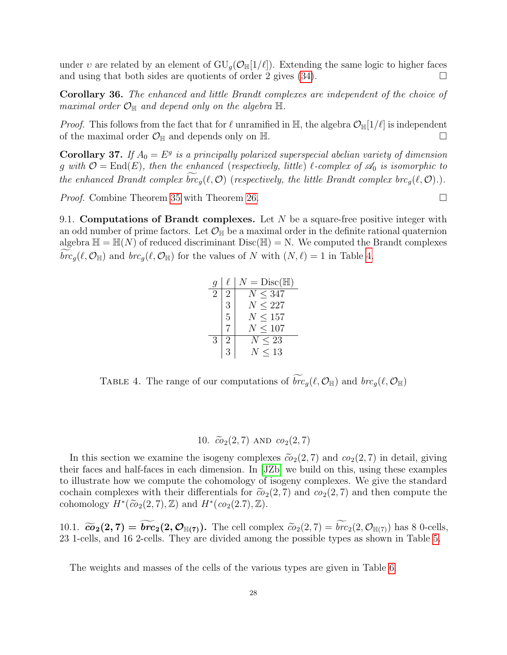under v are related by an element of  $GU_g(\mathcal{O}_{\mathbb{H}}[1/\ell])$ . Extending the same logic to higher faces and using that both sides are quotients of order 2 gives  $(34)$ .

Corollary 36. The enhanced and little Brandt complexes are independent of the choice of maximal order  $\mathcal{O}_{\mathbb{H}}$  and depend only on the algebra  $\mathbb{H}$ .

*Proof.* This follows from the fact that for  $\ell$  unramified in H, the algebra  $\mathcal{O}_{\mathbb{H}}[1/\ell]$  is independent of the maximal order  $\mathcal{O}_{\mathbb{H}}$  and depends only on  $\mathbb{H}$ .

**Corollary 37.** If  $A_0 = E^g$  is a principally polarized superspecial abelian variety of dimension g with  $\mathcal{O} = \text{End}(E)$ , then the enhanced (respectively, little)  $\ell$ -complex of  $\mathcal{A}_0$  is isomorphic to the enhanced Brandt complex  $\text{br}_q(\ell, \mathcal{O})$  (respectively, the little Brandt complex  $\text{br}_q(\ell, \mathcal{O})$ .).

Proof. Combine Theorem [35](#page-26-2) with Theorem [26.](#page-22-1)

<span id="page-27-0"></span>9.1. Computations of Brandt complexes. Let  $N$  be a square-free positive integer with an odd number of prime factors. Let  $\mathcal{O}_{\mathbb{H}}$  be a maximal order in the definite rational quaternion algebra  $\mathbb{H} = \mathbb{H}(N)$  of reduced discriminant  $Disc(\mathbb{H}) = N$ . We computed the Brandt complexes  $brc_q(\ell, \mathcal{O}_{\mathbb{H}})$  and  $br_q(\ell, \mathcal{O}_{\mathbb{H}})$  for the values of N with  $(N, \ell) = 1$  in Table [4.](#page-27-3)

> $g \mid \ell \mid N = \text{Disc}(\mathbb{H})$ 2 | 2 |  $N \leq 347$  $3 \mid N \leq 227$  $5 \mid N \leq 157$  $7 \mid N \leq 107$  $3 \mid 2 \mid N \leq 23$  $3 \mid N \leq 13$

<span id="page-27-3"></span>TABLE 4. The range of our computations of  $\widetilde{brc}_g(\ell, \mathcal{O}_{\mathbb{H}})$  and  $br_G(\ell, \mathcal{O}_{\mathbb{H}})$ 

## 10.  $\tilde{co}_2(2, 7)$  AND  $co_2(2, 7)$

<span id="page-27-1"></span>In this section we examine the isogeny complexes  $\tilde{\omega}_2(2, 7)$  and  $\omega_2(2, 7)$  in detail, giving their faces and half-faces in each dimension. In [\[JZb\]](#page-29-1) we build on this, using these examples to illustrate how we compute the cohomology of isogeny complexes. We give the standard cochain complexes with their differentials for  $\tilde{c}o_2(2, 7)$  and  $co_2(2, 7)$  and then compute the cohomology  $H^*(\tilde{co}_2(2, 7), \mathbb{Z})$  and  $H^*(co_2(2, 7), \mathbb{Z})$ .

<span id="page-27-2"></span>10.1.  $\widetilde{\epsilon o}_2(2, 7) = \widetilde{\mathbf{b}r\mathbf{c}}_2(2, \mathcal{O}_{\mathbb{H}(7)})$ . The cell complex  $\widetilde{\epsilon o}_2(2, 7) = \widetilde{\mathbf{b}r\mathbf{c}}_2(2, \mathcal{O}_{\mathbb{H}(7)})$  has 8 0-cells, 23 1-cells, and 16 2-cells. They are divided among the possible types as shown in Table [5.](#page-28-6)

The weights and masses of the cells of the various types are given in Table [6.](#page-28-7)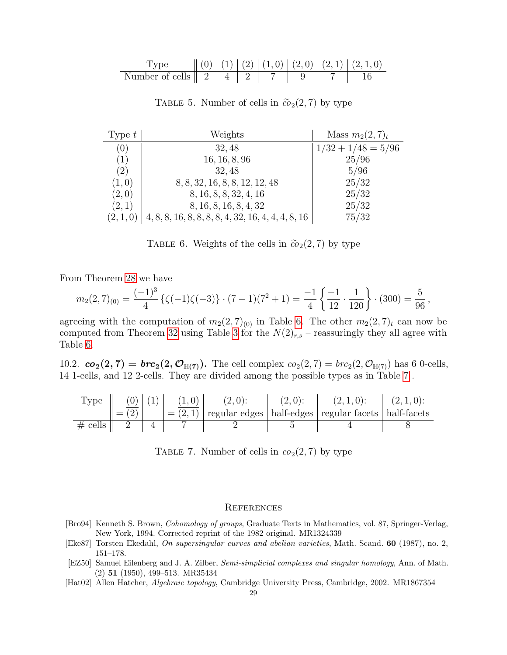|                                                     |  |  |  | $\  (0)   (1)   (2)   (1,0)   (2,0)   (2,1)   (2,1,0)$ |
|-----------------------------------------------------|--|--|--|--------------------------------------------------------|
| Number of cells $\parallel 2 \parallel 4 \parallel$ |  |  |  |                                                        |

Type t Weights Mass  $m_2(2, 7)_t$ (0)  $32,48$   $1/32 + 1/48 = 5/96$  $(1)$  16, 16, 8, 96 25/96 (2)  $\vert$  32, 48  $\vert$  5/96  $(1, 0)$  8, 8, 32, 16, 8, 8, 12, 12, 48 25/32  $(2,0)$  8, 16, 8, 8, 32, 4, 16 25/32  $(2, 1)$  8, 16, 8, 16, 8, 4, 32 25/32  $(2, 1, 0)$  | 4, 8, 8, 16, 8, 8, 8, 8, 4, 32, 16, 4, 4, 4, 8, 16 | 75/32

<span id="page-28-6"></span>TABLE 5. Number of cells in  $\tilde{co}_2(2, 7)$  by type

<span id="page-28-7"></span>TABLE 6. Weights of the cells in  $\tilde{co}_2(2, 7)$  by type

From Theorem [28](#page-24-2) we have

$$
m_2(2,7)_{(0)} = \frac{(-1)^3}{4} \left\{ \zeta(-1)\zeta(-3) \right\} \cdot (7-1)(7^2+1) = \frac{-1}{4} \left\{ \frac{-1}{12} \cdot \frac{1}{120} \right\} \cdot (300) = \frac{5}{96},
$$

agreeing with the computation of  $m_2(2, 7)_{(0)}$  in Table [6.](#page-28-7) The other  $m_2(2, 7)_t$  can now be computed from Theorem [32](#page-25-4) using Table [3](#page-8-2) for the  $N(2)_{r,s}$  – reassuringly they all agree with Table [6.](#page-28-7)

<span id="page-28-0"></span>10.2.  $co_2(2, 7) = brc_2(2, \mathcal{O}_{\mathbb{H}(7)})$ . The cell complex  $co_2(2, 7) = brc_2(2, \mathcal{O}_{\mathbb{H}(7)})$  has 6 0-cells, 14 1-cells, and 12 2-cells. They are divided among the possible types as in Table [7](#page-28-8) .

| Type       |     | $(0)$ $(1)$ |  | $(2,0)$ : | $(2, 1, 0)$ :                                                        | $(2,1,0)$ : |
|------------|-----|-------------|--|-----------|----------------------------------------------------------------------|-------------|
|            | $=$ |             |  |           | $= (2, 1)$ regular edges   half-edges   regular facets   half-facets |             |
| $\#$ cells |     |             |  |           |                                                                      |             |

<span id="page-28-8"></span>TABLE 7. Number of cells in  $co<sub>2</sub>(2, 7)$  by type

#### <span id="page-28-1"></span>**REFERENCES**

- <span id="page-28-4"></span>[Bro94] Kenneth S. Brown, Cohomology of groups, Graduate Texts in Mathematics, vol. 87, Springer-Verlag, New York, 1994. Corrected reprint of the 1982 original. MR1324339
- <span id="page-28-5"></span>[Eke87] Torsten Ekedahl, On supersingular curves and abelian varieties, Math. Scand. 60 (1987), no. 2, 151–178.
- <span id="page-28-2"></span>[EZ50] Samuel Eilenberg and J. A. Zilber, Semi-simplicial complexes and singular homology, Ann. of Math. (2) 51 (1950), 499–513. MR35434
- <span id="page-28-3"></span>[Hat02] Allen Hatcher, Algebraic topology, Cambridge University Press, Cambridge, 2002. MR1867354